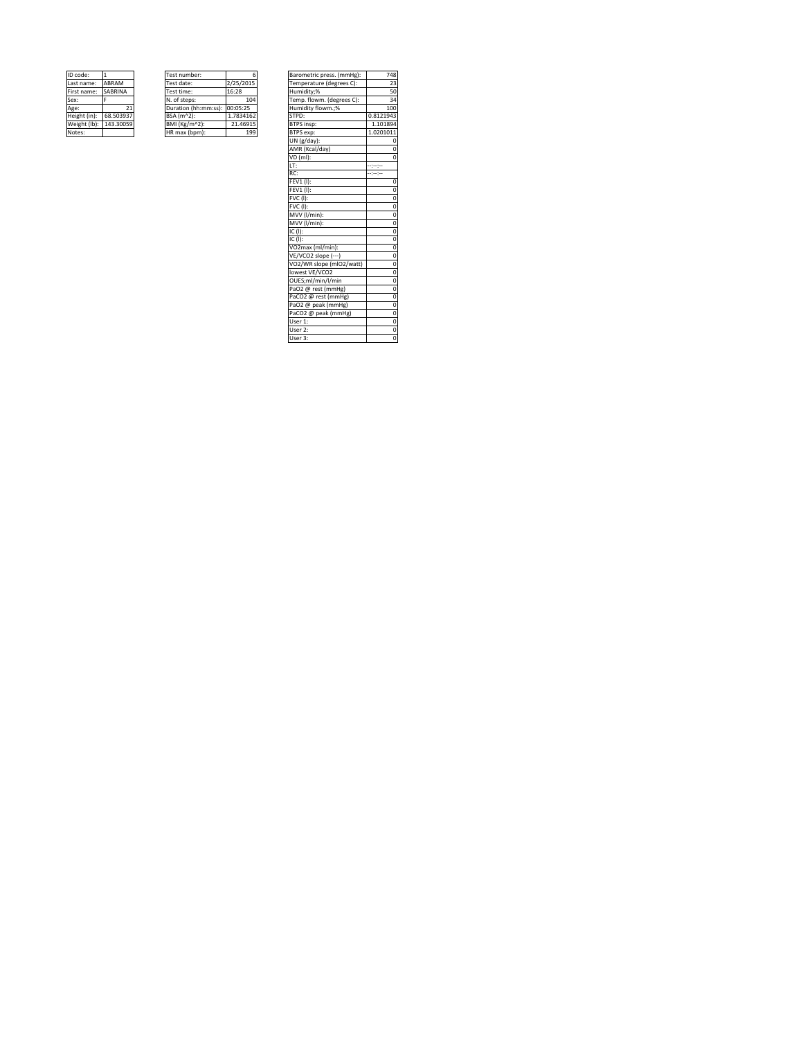| ID code:     |           |
|--------------|-----------|
| Last name:   | ABRAM     |
| First name:  | SABRINA   |
| Sex:         |           |
| Age:         | 21        |
| Height (in): | 68.503937 |
| Weight (lb): | 143.30059 |
| Votes:       |           |

| Test number:                  |                 |
|-------------------------------|-----------------|
| Test date:                    | 2/25/2019       |
| Test time:                    | 16:28           |
| N. of steps:                  | 10 <sub>1</sub> |
| Duration (hh:mm:ss): 00:05:25 |                 |
| BSA (m^2):                    | 1.783416        |
| BMI (Kg/m^2):                 | 21.4691         |
| UP may (hom):                 | $\Omega$        |

| ID code:     | $\mathbf{1}$ | Test number:         | 6 <sup>1</sup> | Barometric press. (mmHg): | 748             |
|--------------|--------------|----------------------|----------------|---------------------------|-----------------|
| Last name:   | ABRAM        | Test date:           | 2/25/2015      | Temperature (degrees C):  | 23              |
| First name:  | SABRINA      | Test time:           | 16:28          | Humidity:%                | 50              |
| Sex:         | F            | N. of steps:         | 104            | Temp. flowm. (degrees C): | $\overline{34}$ |
| Age:         | 21           | Duration (hh:mm:ss): | 00:05:25       | Humidity flowm.;%         | 100             |
| Height (in): | 68.503937    | BSA (m^2):           | 1.7834162      | STPD:                     | 0.8121943       |
| Weight (lb): | 143.30059    | BMI (Kg/m^2):        | 21.46915       | <b>BTPS insp:</b>         | 1.101894        |
| Notes:       |              | HR max (bpm):        | 199            | BTPS exp:                 | 1.0201011       |
|              |              |                      |                | UN (g/day):               |                 |
|              |              |                      |                | AMR (Kcal/day)            | $\overline{0}$  |
|              |              |                      |                | VD (ml):                  | $\Omega$        |
|              |              |                      |                | LT:                       | الموسود         |
|              |              |                      |                | RC:                       | للوسوس          |
|              |              |                      |                | FEV1 (I):                 | $\mathbf 0$     |
|              |              |                      |                | FEV1 (I):                 | $\overline{0}$  |
|              |              |                      |                | <b>FVC (I):</b>           | $\mathbf 0$     |
|              |              |                      |                | $FVC$ (I):                | $\overline{0}$  |
|              |              |                      |                | MVV (l/min):              | $\overline{0}$  |
|              |              |                      |                | MVV (l/min):              | $\overline{0}$  |
|              |              |                      |                | $IC(1)$ :                 | $\mathbf 0$     |
|              |              |                      |                | $IC(1)$ :                 | $\overline{0}$  |
|              |              |                      |                | VO2max (ml/min):          | $\overline{0}$  |
|              |              |                      |                | VE/VCO2 slope (---)       | $\overline{0}$  |
|              |              |                      |                | VO2/WR slope (mlO2/watt)  | $\overline{0}$  |
|              |              |                      |                | lowest VE/VCO2            | $\mathbf 0$     |
|              |              |                      |                | OUES:ml/min/l/min         | $\mathbf 0$     |
|              |              |                      |                | PaO2 @ rest (mmHg)        | $\overline{0}$  |
|              |              |                      |                | PaCO2 @ rest (mmHg)       | $\overline{0}$  |
|              |              |                      |                | PaO2 @ peak (mmHg)        | $\overline{0}$  |
|              |              |                      |                | PaCO2 @ peak (mmHg)       | 0               |
|              |              |                      |                | User 1:                   | $\overline{0}$  |
|              |              |                      |                | User 2:                   | 0               |
|              |              |                      |                | User 3:                   | $\mathbf 0$     |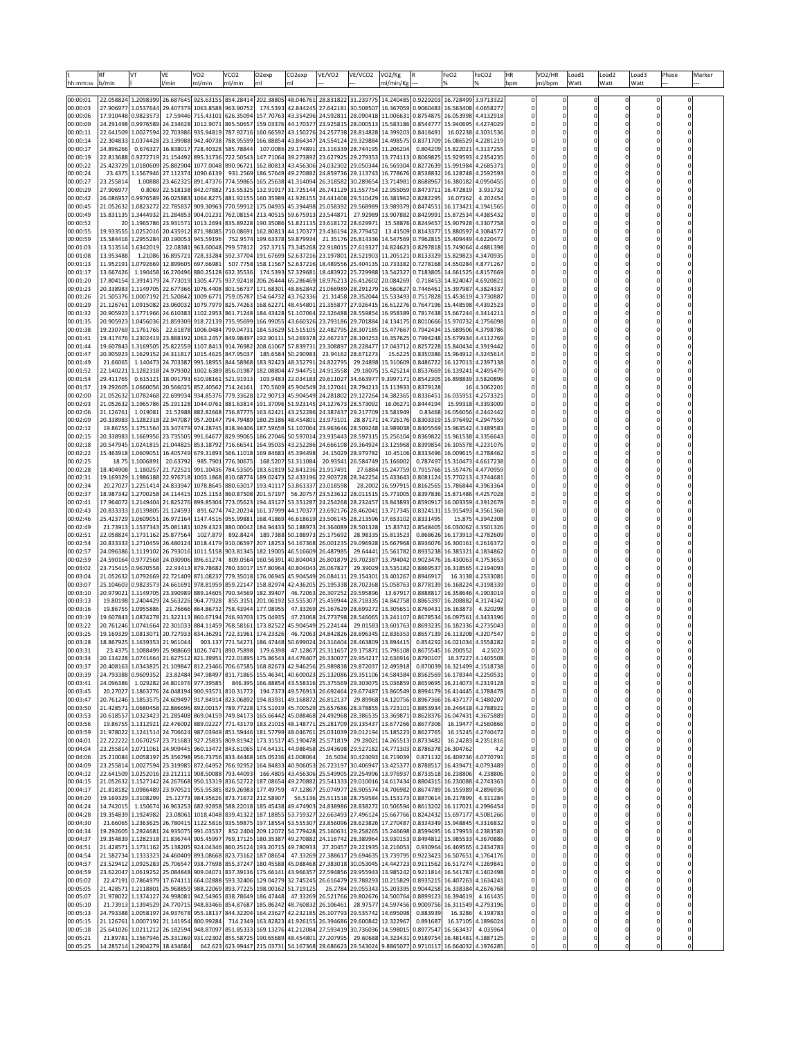| hh:mm:ss  b/min      | Rf                     | VT                                     | VE<br>l/min | VO <sub>2</sub><br>ml/min | VCO <sub>2</sub><br>ml/min                                                                                                                                                                                                                                                                                                                               | O <sub>2</sub> exp<br>ml. | CO2exp<br>lml                                                                                           | VE/VO <sub>2</sub> | VE/VCO2            | VO2/Kg<br>ml/min/Kg |                                                                                                                | FeO <sub>2</sub> | FeCO <sub>2</sub> | HR<br>bpm     | VO <sub>2</sub> /HR<br>ml/bpm | Load1<br>Watt | Load <sub>2</sub><br>Watt | Load3<br>Watt | Phase | Marker |
|----------------------|------------------------|----------------------------------------|-------------|---------------------------|----------------------------------------------------------------------------------------------------------------------------------------------------------------------------------------------------------------------------------------------------------------------------------------------------------------------------------------------------------|---------------------------|---------------------------------------------------------------------------------------------------------|--------------------|--------------------|---------------------|----------------------------------------------------------------------------------------------------------------|------------------|-------------------|---------------|-------------------------------|---------------|---------------------------|---------------|-------|--------|
| 00:00:01             |                        |                                        |             |                           | 22.058824 1.2098399 26.687645 925.63155 854.28414 202.38805 48.046761 28.831822 31.239775 14.240485 0.9229203 16.728499 3.9713322                                                                                                                                                                                                                        |                           |                                                                                                         |                    |                    |                     |                                                                                                                |                  |                   |               |                               |               |                           |               |       |        |
| 00:00:03             |                        |                                        |             |                           | 27.906977 1.0537644 29.407379 1063.8588 963.90752                                                                                                                                                                                                                                                                                                        |                           | 174.5393 42.844245 27.642181 30.508507 16.367059 0.9060483 16.563408 4.0658277                          |                    |                    |                     |                                                                                                                |                  |                   |               |                               |               |                           |               |       |        |
| 00:00:06<br>00:00:09 |                        |                                        |             |                           | 17.910448 0.9823573 17.59446 715.43101 626.35094 157.70763 43.354296 24.592811 28.090418 11.006631 0.8754875 16.053998 4.4132918<br>24.291498 0.9976589 24.234628 1012.9071 865.50657 159.03376 44.170377 23.925815 28.000513 15.583186 0.8544777 15.940695 4.4274029                                                                                    |                           |                                                                                                         |                    |                    |                     |                                                                                                                |                  |                   |               |                               |               |                           |               |       |        |
| 00:00:11             |                        |                                        |             |                           | 22.641509 1.0027594 22.703986 935.94819 787.92716 160.66592 43.150276 24.257738 28.814828 14.399203 0.8418491 16.02238 4.3031536                                                                                                                                                                                                                         |                           |                                                                                                         |                    |                    |                     |                                                                                                                |                  |                   |               |                               |               |                           |               |       |        |
| 00:00:14             |                        |                                        |             |                           | 22.304833 1.0374428 23.139988 942.40738 788.95599 166.88854 43.864347 24.554124 29.329884 14.498575 0.8371709 16.086529 4.2281219                                                                                                                                                                                                                        |                           |                                                                                                         |                    |                    |                     |                                                                                                                |                  |                   |               |                               |               |                           |               |       |        |
| 00:00:17<br>00:00:19 | 24.896266              |                                        |             |                           | 0.676327 16.838017 728.40328 585.78844<br>22.813688 0.9272719 21.154492 895.31736 722.50543 147.71064 39.273892 23.627925 29.279353 13.774113 0.8069825 15.929593 4.2354235                                                                                                                                                                              |                           | 107.0086 29.174891 23.116339 28.744195 11.206204 0.804209 15.822021 4.3137255                           |                    |                    |                     |                                                                                                                |                  |                   |               |                               |               |                           |               |       |        |
| 00:00:22             |                        |                                        |             |                           | 25.882904 1.0180609 25.882904 1077.0048 890.96721 162.80813 43.456306 24.032302 29.050344 16.569304 0.8272639 15.991984 4.2685371                                                                                                                                                                                                                        |                           |                                                                                                         |                    |                    |                     |                                                                                                                |                  |                   |               |                               |               |                           |               |       |        |
| 00:00:24             |                        |                                        |             |                           | 23.4375 1.1567946 27.112374 1090.6139 931.2569 186.57649 49.270882 24.859736 29.113743 16.778676 0.8538832 16.128748 4.2592593                                                                                                                                                                                                                           |                           |                                                                                                         |                    |                    |                     |                                                                                                                |                  |                   |               |                               |               |                           |               |       |        |
| 00:00:27<br>00:00:29 | 23.255814<br>27.906977 |                                        |             |                           | 1.00888 23.462325 891.47376 774.59865 165.25638 41.314094 26.318582 30.289654 13.714981 0.8688967 16.380182 4.0950455<br>0.8069 22.518138 842.07882 713.55325 132.91917 31.725144 26.741129 31.557754 12.955059 0.8473711 16.472819 3.931732                                                                                                             |                           |                                                                                                         |                    |                    |                     |                                                                                                                |                  |                   |               |                               |               |                           |               |       |        |
| 00:00:42             |                        |                                        |             |                           | 26.086957 0.9976589 26.025883 1064.8275 881.92155 160.35989 41.926155 24.441408 29.510429 16.381962 0.8282295 16.07362 4.202454                                                                                                                                                                                                                          |                           |                                                                                                         |                    |                    |                     |                                                                                                                |                  |                   |               |                               |               |                           |               |       |        |
| 00:00:45<br>00:00:49 |                        |                                        |             |                           | 21.052632 1.0823272 22.785837 909.30963 770.59912 175.04935 45.394498 25.058392 29.568989 13.989379 0.8474551 16.173421 4.1941565<br>15.831135 1.3444932 21.284853 904.01231 762.08154 213.40515 59.675913 23.544871 27.92989 13.907882 0.8429991 15.872534 4.4385432                                                                                    |                           |                                                                                                         |                    |                    |                     |                                                                                                                |                  |                   |               |                               |               |                           |               |       |        |
| 00:00:52             |                        |                                        |             |                           | 20 1.1965786 23.931571 1013.2694 835.89228 190.35086 51.821135 23.618172 28.629971                                                                                                                                                                                                                                                                       |                           |                                                                                                         |                    |                    |                     | 15.58876 0.8249457 15.907928 4.3307758                                                                         |                  |                   |               |                               |               |                           |               |       |        |
| 00:00:55             |                        |                                        |             |                           | 19.933555 1.0252016 20.435912 871.98085 710.08691 162.80813 44.170377 23.436194 28.779452                                                                                                                                                                                                                                                                |                           |                                                                                                         |                    |                    |                     | 13.41509 0.8143377 15.880597 4.3084577                                                                         |                  |                   |               |                               |               |                           |               |       |        |
| 00:00:59<br>00:01:03 |                        |                                        |             |                           | 15.584416 1.2955284 20.190053 945.59196 752.9574 199.63378 59.879934<br>13.513514 1.6342019 22.08381 963.60048 799.57812                                                                                                                                                                                                                                 |                           | 257.3715 73.345268 22.918015 27.619327 14.824623 0.8297818 15.749064 4.4881398                          |                    |                    |                     | 21.35176 26.814336 14.547569 0.7962815 15.409449 4.6220472                                                     |                  |                   | $\Omega$      |                               |               |                           |               |       |        |
| 00:01:08             | 13.953488              |                                        |             |                           | 1.21086 16.895721 728.33284 592.37704 191.67699 52.637216 23.197801 28.521903 11.205121 0.8133329 15.829823 4.3470935                                                                                                                                                                                                                                    |                           |                                                                                                         |                    |                    |                     |                                                                                                                |                  |                   | $\Omega$      |                               |               |                           |               |       |        |
| 00:01:13             |                        |                                        |             |                           | 11.952191 1.0792669 12.899605 697.66981 507.7758 158.11567 52.637216 18.489556 25.404135 10.733382 0.7278168 14.650284 4.8771267                                                                                                                                                                                                                         |                           |                                                                                                         |                    |                    |                     |                                                                                                                |                  |                   |               |                               |               |                           |               |       |        |
| 00:01:17<br>00:01:20 | 13.667426              |                                        |             |                           | 1.190458 16.270496 880.25128 632.35536 174.5393 57.329681 18.483922 25.729988 13.542327 0.7183805 14.661525 4.8157669<br>14.824047 4.6920821 20.084269 20.084269 20.084269 20.084261 20.084269 20.084269 20.084269 20.084269 20.084269 20.084269 20.084269 20.084269 20.084269 20.084269 20.084269 20.084269 20.084269 20.084269 20.084269 20.084269 20. |                           |                                                                                                         |                    |                    |                     |                                                                                                                |                  |                   | $\Omega$<br>0 |                               |               |                           |               |       |        |
| 00:01:23             |                        |                                        |             |                           | 20.338983 1.1149705 22.677366 1076.4408 801.56737 171.68301 48.862842 21.066989 28.291279 16.560627 0.7446461 15.397987 4.3824337                                                                                                                                                                                                                        |                           |                                                                                                         |                    |                    |                     |                                                                                                                |                  |                   |               |                               |               |                           |               |       |        |
| 00:01:26<br>00:01:29 |                        |                                        |             |                           | 21.505376 1.0007192 21.520842 1009.6771 759.05787 154.64732 43.762336<br>21.126761 1.0915082 23.060032 1079.7979 825.74263 168.62271 48.454801 21.355877 27.926415 16.612276 0.7647196 15.448598 4.4392523                                                                                                                                               |                           |                                                                                                         |                    |                    |                     | 21.31458 28.352044 15.533493 0.7517828 15.453619 4.3730887                                                     |                  |                   |               |                               |               |                           |               |       |        |
| 00:01:32             |                        |                                        |             |                           | 20.905923 1.1771966 24.610383 1102.2953 861.71248 184.43428 51.107064 22.326488 28.559854 16.958389 0.7817438 15.667244 4.3414211                                                                                                                                                                                                                        |                           |                                                                                                         |                    |                    |                     |                                                                                                                |                  |                   |               |                               |               |                           |               |       |        |
| 00:01:35             |                        |                                        |             |                           | 20.905923  1.0456036  21.859309  918.72139  735.95699  166.99055  43.660326  23.793186  29.701884  14.134175  0.8010666  15.970732  4.1756098                                                                                                                                                                                                            |                           |                                                                                                         |                    |                    |                     |                                                                                                                |                  |                   |               |                               |               |                           |               |       |        |
| 00:01:38<br>00:01:41 |                        |                                        |             |                           | 1998566  1.1761765  22.61878 1006.0484  799.04731  184.53629  51.515105  22.482795  28.307185  15.477667  0.7942434  15.689506  4.3798786 <br>1063.2457 4.411276 1.2302419 23.888192 1063.2457 849.98497 192.90111 54.269378 22.467237 28.104253 16.357625 0.7994248 15.679934 4.4112769                                                                 |                           |                                                                                                         |                    |                    |                     |                                                                                                                |                  |                   |               |                               |               |                           |               |       |        |
| 00:01:44             |                        |                                        |             |                           | 123199442 1.3169505 25.822559 1107.8413 914.76982 208.61067 57.839731 23.308897 28.228477 17.043712 0.8257228 15.840434 4.3919442                                                                                                                                                                                                                        |                           |                                                                                                         |                    |                    |                     |                                                                                                                |                  |                   |               |                               |               |                           |               |       |        |
| 00:01:47             |                        |                                        |             |                           | 20.905923 1.1629152 24.311817 1015.4625 847.95037                                                                                                                                                                                                                                                                                                        |                           | 185.6584 50.290983                                                                                      |                    | 23.94162 28.671273 |                     | 15.6225 0.8350386 15.964912 4.3245614                                                                          |                  |                   |               |                               |               |                           |               |       |        |
| 00:01:49<br>00:01:52 | 21.66065               |                                        |             |                           | 1.140473 24.703387 995.18955 844.58968 183.92423 48.352791 24.822795 29.24898 15.310609 0.8486722 16.127013 4.2397138<br>24.979301 1.1282318 24.979302 1002.6389 856.01987 182.08804 47.944751 24.913558 29.18075 15.425214 0.8537669 16.139241 4.2495479                                                                                                |                           |                                                                                                         |                    |                    |                     |                                                                                                                |                  |                   |               |                               |               |                           |               |       |        |
| 00:01:54             | 29.411765              |                                        |             |                           | 0.615121 18.091793 610.98161 521.91913                                                                                                                                                                                                                                                                                                                   |                           | 103.9483 22.034183 29.611027 34.663977 9.3997171 0.8542305 16.898839 3.5820896                          |                    |                    |                     |                                                                                                                |                  |                   | $\Omega$      |                               |               |                           |               |       |        |
| 00:01:57             | 19.292605              |                                        |             |                           | 1.0660056 20.566025 852.40562 714.24161                                                                                                                                                                                                                                                                                                                  |                           | 170.5609 45.904549 24.127041 28.794213 13.113933 0.8379128                                              |                    |                    |                     |                                                                                                                |                  | 16 4.3062201      |               |                               |               |                           |               |       |        |
| 00:02:00<br>00:02:03 |                        |                                        |             |                           | 21.052632 1.0782468 22.699934 934.85376 779.33628 172.90713 45.904549 24.281802 29.127264 14.382365 0.8336451 16.035951 4.2573321<br>21.052632 1.1965786 25.191128 1044.0761 881.63814 191.37096 51.923145 24.127673 28.573092 16.06271 0.8444194 15.99318 4.3393009                                                                                     |                           |                                                                                                         |                    |                    |                     |                                                                                                                |                  |                   |               |                               |               |                           |               |       |        |
| 00:02:06             | 21.126761              |                                        |             |                           | 1.019081 21.52988 882.82668 736.87775 163.62421 43.252286 24.387437 29.217709 13.581949 0.83468 16.056056 4.2442442                                                                                                                                                                                                                                      |                           |                                                                                                         |                    |                    |                     |                                                                                                                |                  |                   |               |                               |               |                           |               |       |        |
| 00:02:09<br>00:02:12 | 20.338983              |                                        |             |                           | 1.1282318 22.947087 957.20147 794.79489 180.25186 48.454801 23.973101 28.87171 14.726176 0.8303319 15.976492 4.2947559<br>19389582 1.1751564 23.347479 974.28745 318.94406 187.59659 51.107064 23.963646 28.509248 14.989038 0.8405569 15.963542 4.3489583                                                                                               |                           |                                                                                                         |                    |                    |                     |                                                                                                                |                  |                   |               |                               |               |                           |               |       |        |
| 00:02:15             |                        |                                        |             |                           | 20.338983 1.1669956 23.735505 991.64677 829.99065 186.27046 50.597014 23.935443 28.597315 15.256104 0.8369822 15.961538 4.3356643                                                                                                                                                                                                                        |                           |                                                                                                         |                    |                    |                     |                                                                                                                |                  |                   |               |                               |               |                           |               |       |        |
| 00:02:18             |                        |                                        |             |                           | 20.547945 1.0241815 21.044825 853.18792 716.66541 164.95035 43.252286 24.666108 29.364924 13.125968 0.8399854 16.105578 4.2231076                                                                                                                                                                                                                        |                           |                                                                                                         |                    |                    |                     |                                                                                                                |                  |                   |               |                               |               |                           |               |       |        |
| 00:02:22<br>00:02:25 |                        | 18.75 1.1006891 20.63792               |             |                           | 15.463918 1.0609051 16.405749 679.31893 566.11018 169.84683 45.394498<br>985.7901 776.30675                                                                                                                                                                                                                                                              |                           | 168.5207 51.311084                                                                                      |                    | 24.15029 28.979782 |                     | 10.45106 0.8333496 16.009615 4.2788462<br>20.93541 26.584749 15.166002 0.787497 15.310473 4.6617238            |                  |                   |               |                               |               |                           |               |       |        |
| 00:02:28             | 18.404908              |                                        |             |                           | 1.180257 21.722521 991.10436 784.53505 183.61819 52.841236 21.917491                                                                                                                                                                                                                                                                                     |                           |                                                                                                         |                    |                    |                     | 27.6884 15.247759 0.7915766 15.557476 4.4770959                                                                |                  |                   |               |                               |               |                           |               |       |        |
| 00:02:31             | 19.169329              |                                        |             |                           | 1.1986188 22.976718 1003.1868 810.68774 189.02473 52.433196 22.903728 28.342254 15.433643 0.8081124 15.770213 4.3744681                                                                                                                                                                                                                                  |                           |                                                                                                         |                    |                    |                     |                                                                                                                |                  |                   |               |                               |               |                           |               |       |        |
| 00:02:34<br>00:02:37 |                        |                                        |             |                           | 20.27027 1.2251414 24.833947 1078.8645 880.63017 193.41117 53.861337 23.018598<br>18.987342 1.2700258 24.114415 1025.1153 860.87508 201.57197 56.20757                                                                                                                                                                                                   |                           |                                                                                                         |                    |                    |                     | 28.2002 16.597915 0.8162565 15.786844 4.3963364<br>23.523612 28.011515 15.771005 0.8397836 15.871486 4.4257028 |                  |                   |               |                               |               |                           |               |       |        |
| 00:02:41             |                        |                                        |             |                           | 173.064072 1.2149404 21.825276 899.85304 773.05623 194.43127 53.351287 24.254268 28.232457 13.843893 0.8590917 16.003359 4.3912678                                                                                                                                                                                                                       |                           |                                                                                                         |                    |                    |                     |                                                                                                                |                  |                   |               |                               |               |                           |               |       |        |
| 00:02:43             |                        | 20.833333 1.0139805 21.124593          |             |                           | 891.6274 742.20234 161.37999 44.170377 23.692176 28.462041 13.717345 0.8324131 15.915493 4.3561368<br> 25.423729  1.0609051  26.972164  1147.4516  955.99881  168.41869  46.618619  23.506145  28.213596  17.653102  0.8331495  15.875  4.3942308                                                                                                        |                           |                                                                                                         |                    |                    |                     |                                                                                                                |                  |                   |               |                               |               |                           |               |       |        |
| 00:02:46<br>00:02:49 |                        |                                        |             |                           | 21.73913 1.1537343 25.081181 1029.4323 880.00042 184.94433 50.188973 24.364089 28.501328                                                                                                                                                                                                                                                                 |                           |                                                                                                         |                    |                    |                     | 15.83742 0.8548405 16.030062 4.3501326                                                                         |                  |                   |               |                               |               |                           |               |       |        |
| 00:02:51             |                        | 22.058824 1.1731162 25.877564          |             |                           | 1027.879 892.8424 189.7388 50.188973 25.175692 28.98335 15.813523 0.868626 16.173913 4.2782609                                                                                                                                                                                                                                                           |                           |                                                                                                         |                    |                    |                     |                                                                                                                |                  |                   |               |                               |               |                           |               |       |        |
| 00:02:54<br>00:02:57 |                        |                                        |             |                           | 20.833333 1.2710459 26.480124 1018.4179 910.06597 207.18253 54.167368 26.001235 29.096928 15.667968 0.8936076 16.300161 4.2616372<br>26.385321 4.1834862 20.093321 4.1834862 20.1.5158 303.81345 282.19005 46.516609 26.487985 29.64441 15.561782 0.8935238 16.385321 4.1834862                                                                          |                           |                                                                                                         |                    |                    |                     |                                                                                                                |                  |                   |               |                               |               |                           |               |       |        |
| 00:02:59             |                        |                                        |             |                           | 24.590164 0.9772568 24.030906 896.61274 809.0564 160.56391 40.804043 26.801879 29.702387 13.794042 0.9023476 16.430063 4.1753653                                                                                                                                                                                                                         |                           |                                                                                                         |                    |                    |                     |                                                                                                                |                  |                   | 0             |                               |               |                           |               |       |        |
| 00:03:02             |                        |                                        |             |                           | 22.93413 879.715415 0.9670558 22.93413 879.78682 780.33017 157.80964 40.804043 26.067827 29.39029 13.535182 0.8869537 16.318565 4.2194093                                                                                                                                                                                                                |                           |                                                                                                         |                    |                    |                     |                                                                                                                |                  |                   |               |                               |               |                           |               |       |        |
| 00:03:04<br>00:03:07 |                        |                                        |             |                           | 21.052632 1.0792669 22.721409 871.08237 779.35018 176.06945 45.904549 26.084111 29.154301 13.401267 0.8946917 16.3138 4.2533081<br>25.104603 0.9823573 24.661691 978.81959 859.22147 158.82974 42.436205 25.195338 28.702368 15.058763 0.8778139 16.168224 4.3198339                                                                                     |                           |                                                                                                         |                    |                    |                     |                                                                                                                |                  |                   |               |                               |               |                           |               |       |        |
| 00:03:10             |                        |                                        |             |                           | 20.979021 1.1149705 23.390989 889.14605 790.34569 182.39407 46.72063 26.307252 29.595896                                                                                                                                                                                                                                                                 |                           |                                                                                                         |                    |                    |                     | 13.67917 0.8888817 16.358646 4.1903019                                                                         |                  |                   |               |                               |               |                           |               |       |        |
| 00:03:13             |                        |                                        |             |                           | 19.80198 1.2404429 24.563226 964.77928 855.3151 201.06192 53.555307 25.459944 28.718335 14.842758 0.8865397 16.208882 4.3174342<br>19.86755 1.0955886 21.76666 864.86732 758.43944 177.08955 47.33269 25.167629 28.699272 13.305651 0.8769431 16.163873 4.320298                                                                                         |                           |                                                                                                         |                    |                    |                     |                                                                                                                |                  |                   |               |                               |               |                           |               |       |        |
| 00:03:16<br>00:03:19 |                        |                                        |             |                           | 19.607843 1.0874278 21.322113 860.67194 746.93703 175.04935                                                                                                                                                                                                                                                                                              |                           |                                                                                                         |                    |                    |                     | 47.23068 24.773798 28.546065 13.241107 0.8678534 16.097561 4.3433396                                           |                  |                   |               |                               |               |                           |               |       |        |
| 00:03:22             |                        |                                        |             |                           | 20.761246 1.0741664 22.301033 884.11459 768.58161 173.82522 45.904549 25.224144 29.01583 13.601763 0.8693235 16.182336 4.2735043                                                                                                                                                                                                                         |                           |                                                                                                         |                    |                    |                     |                                                                                                                |                  |                   |               |                               |               |                           |               |       |        |
| 00:03:25<br>00:03:28 |                        | 18.867925 1.1639353 21.961044          |             |                           | 19.169329 1.0813071 20.727933 834.36291 722.31961 174.23326<br>903.137 771.54271 186.47448 50.699024 24.316404 28.463809 13.894415 0.854292 16.021034 4.3558282                                                                                                                                                                                          |                           |                                                                                                         |                    |                    |                     | 46.72063 24.842826 28.696345 12.836353 0.8657139 16.113208 4.3207547                                           |                  |                   | $\Omega$      |                               |               |                           |               |       |        |
| 00:03:31             |                        |                                        |             |                           | 23.4375 1.1088499 25.988669 1026.7471 890.75898 179.6398 47.12867 25.311657 29.175871 15.796108 0.8675545 16.200552 4.25023                                                                                                                                                                                                                              |                           |                                                                                                         |                    |                    |                     |                                                                                                                |                  |                   | $\Omega$      |                               |               |                           |               |       |        |
| 00:03:34             |                        |                                        |             |                           | 20.134228 1.0741664 21.627512 821.39951 722.01895 175.86543 44.476407 26.330077 29.954217 12.636916 0.8790107 16.37227 4.1405508                                                                                                                                                                                                                         |                           |                                                                                                         |                    |                    |                     |                                                                                                                |                  |                   | $\sqrt{ }$    |                               |               |                           |               |       |        |
| 00:03:37<br>00:03:39 |                        |                                        |             |                           | 20.408163 1.0343825 21.109847 812.23466 706.67585 168.82673 42.946256 25.989838 29.872037 12.495918 0.870039 16.321499 4.1518738<br>23.82484 4.2250531 23.82484 947.98497 811.71865 155.46341 40.600023 25.132086 29.351106 14.584384 0.8562569 16.178344 4.2250531                                                                                      |                           |                                                                                                         |                    |                    |                     |                                                                                                                |                  |                   |               |                               |               |                           |               |       |        |
| 00:03:41             |                        | 24.096386 1.029282 24.801976 977.39585 |             |                           |                                                                                                                                                                                                                                                                                                                                                          |                           | 846.395   166.88854   43.558316   25.375569   29.303075   15.036859   0.8659695   16.214073   4.2319128 |                    |                    |                     |                                                                                                                |                  |                   | $\Omega$      |                               |               |                           |               |       |        |
| 00:03:45<br>00:03:47 |                        |                                        |             |                           | 20.27027 1.1863776 24.048194 900.93571 810.31772 194.7373 49.576913 26.692464 29.677487 13.860549 0.8994179 16.414445 4.1788478<br>20.761246 1.1853575 24.609497 917.84914 823.06892 194.83931 49.168872 26.812137 29.89968 14.120756 0.8967366 16.437177 4.1480207                                                                                      |                           |                                                                                                         |                    |                    |                     |                                                                                                                |                  |                   | $\Omega$      |                               |               |                           |               |       |        |
|                      |                        |                                        |             |                           | 00:03:50 21.428571 1.0680458 22.886696 892.00157 789.77228 173.51919 45.700529 25.657686 28.978855 13.723101 0.8853934 16.246418 4.2788921                                                                                                                                                                                                               |                           |                                                                                                         |                    |                    |                     |                                                                                                                |                  |                   | $\Omega$      |                               |               |                           |               |       |        |
|                      |                        |                                        |             |                           | 00:03:53 20.618557 1.0323423 21.285408 869.04159 749.84173 165.66442 45.088468 24.492968 28.386535 13.369871 0.8628376 16.047431 4.3675889                                                                                                                                                                                                               |                           |                                                                                                         |                    |                    |                     |                                                                                                                |                  |                   |               |                               |               |                           |               |       |        |
| 00:03:56             |                        |                                        |             |                           | 19.86755 1.1312921 22.476002 889.02227 771.43179 183.21015 48.148771 25.281709 29.135437 13.677266 0.8677306 16.19477 4.2560866<br>00:03:59 21.978022 1.1241514 24.706624 987.03949 851.59446 181.57799 48.046761 25.031039 29.012194 15.185223 0.8627765 16.15245 4.2740472                                                                             |                           |                                                                                                         |                    |                    |                     |                                                                                                                |                  |                   |               |                               |               |                           |               |       |        |
|                      |                        |                                        |             |                           | 00:04:01 22.222222 1.0670257 23.711683 927.25835 809.81942 173.31517 45.190478 25.571819 29.28021 14.265513 0.8733482 16.24283 4.2351816                                                                                                                                                                                                                 |                           |                                                                                                         |                    |                    |                     |                                                                                                                |                  |                   | $\Omega$      |                               |               |                           |               |       |        |
|                      |                        |                                        |             |                           | 00:04:04 23.255814 1.0711061 24.909445 960.13472 843.61065 174.64131 44.986458 25.943698 29.527182 14.771303 0.8786378 16.304762 4.2<br>25.210084 1.0058197 25.356798 956.73756 833.44468 165.05236 41.008064 26.5034 30.424093 14.719039 0.871132 16.409736 4.0770791                                                                                   |                           |                                                                                                         |                    |                    |                     |                                                                                                                |                  |                   | $\Omega$      |                               |               |                           |               |       |        |
| 00:04:06<br>00:04:09 |                        |                                        |             |                           | 23.255814 1.0027594 23.319985 872.64952 766.92952 164.84833 40.906053 26.723197 30.406947 13.425377 0.8788517 16.439471 4.0793489                                                                                                                                                                                                                        |                           |                                                                                                         |                    |                    |                     |                                                                                                                |                  |                   |               |                               |               |                           |               |       |        |
| 00:04:12             |                        |                                        |             |                           | 23.641509 1.0252016 23.212111 908.50088 793.44093 166.4805 43.456306 25.549905 29.254996 13.976937 0.8733518 16.238806 4.238806                                                                                                                                                                                                                          |                           |                                                                                                         |                    |                    |                     |                                                                                                                |                  |                   |               |                               |               |                           |               |       |        |
| 00:04:15<br>00:04:17 |                        |                                        |             |                           | 21.052632 1.1527142 24.267668 950.13319 836.52722 187.08654 49.270882 25.541333 29.010016 14.617434 0.8804315 16.230088 4.2743363<br>21.818182 1.0986489 23.970521 955.95385 829.26983 177.49759 47.12867 25.074977 28.905574 14.706982 0.8674789 16.155989 4.2896936                                                                                    |                           |                                                                                                         |                    |                    |                     |                                                                                                                |                  |                   | $\Omega$      |                               |               |                           |               |       |        |
| 00:04:20             |                        |                                        |             |                           | 19.169329 1.3108299 25.12773 984.95626 873.71672 212.58907 56.5136 25.511518 28.759584 15.153173 0.8870614 16.217899 4.311284                                                                                                                                                                                                                            |                           |                                                                                                         |                    |                    |                     |                                                                                                                |                  |                   | $\Omega$      |                               |               |                           |               |       |        |
| 00:04:24             | 14.742015              |                                        |             |                           | 1.150674 16.963253 682.92858 588.22018 185.45438 49.474903 24.838986 28.838272 10.506594 0.8613202 16.117021 4.2996454                                                                                                                                                                                                                                   |                           |                                                                                                         |                    |                    |                     |                                                                                                                |                  |                   |               |                               |               |                           |               |       |        |
| 00:04:28<br>00:04:30 |                        |                                        |             |                           | 10.34839 1.1924982 23.08061 1018.4048 839.41322 187.18855 53.759327 22.663493 27.496124 15.667766 0.8242432 15.697177 4.5081266<br>21.66065 1.2363625 26.780415 1122.5816 935.59875 197.18554 53.555307 23.856096 28.623826 17.270487 0.8334349 15.948845 4.3316832                                                                                      |                           |                                                                                                         |                    |                    |                     |                                                                                                                |                  |                   |               |                               |               |                           |               |       |        |
| 00:04:34             |                        |                                        |             |                           | 10.292605 1.2924681 24.935075 991.03537 852.2404 209.12072 54.779428 25.160631 29.258265 15.246698 0.8599495 16.179953 4.2383583                                                                                                                                                                                                                         |                           |                                                                                                         |                    |                    |                     |                                                                                                                |                  |                   |               |                               |               |                           |               |       |        |
| 00:04:37             |                        |                                        |             |                           | 10.354839 1.1282318 21.836744 905.45997 769.17125 180.35387 49.270882 24.116742 28.389964 13.930153 0.8494812 15.985533 4.3670886                                                                                                                                                                                                                        |                           |                                                                                                         |                    |                    |                     |                                                                                                                |                  |                   |               |                               |               |                           |               |       |        |
| 00:04:51<br>00:04:54 |                        |                                        |             |                           | 21.428571 1.1731162 25.138205 924.04346 860.25124 193.20715 49.780933<br>21.582734 1.1333323 24.460409 893.08668 823.73162 187.08654 47.33269 27.388617 29.694635 13.739795 0.9223423 16.507651 4.1764176                                                                                                                                                |                           |                                                                                                         |                    |                    |                     | 27.20457 29.221935 14.216053 0.930964 16.469565 4.2434783                                                      |                  |                   |               |                               |               |                           |               |       |        |
| 00:04:57             |                        |                                        |             |                           | 25.529412 1.0925283 25.706547 938.77698 855.37247 180.45588 45.088468 27.383018 30.053045 14.442723 0.9111562 16.517274 4.1269841                                                                                                                                                                                                                        |                           |                                                                                                         |                    |                    |                     |                                                                                                                |                  |                   |               |                               |               |                           |               |       |        |
| 00:04:59             |                        |                                        |             |                           | 23.622047 1.0619252 25.084848 909.04071 837.39136 175.66141 43.966357 27.594856 29.955943 13.985242 0.9211814 16.541787 4.1402498                                                                                                                                                                                                                        |                           |                                                                                                         |                    |                    |                     |                                                                                                                |                  |                   |               |                               |               |                           |               |       |        |
| 00:05:02<br>00:05:05 |                        |                                        |             |                           | 22.47191 0.7864979 17.674111 664.02888 593.32406 129.04279 32.745245 26.616479 29.788293 10.215829 0.8935215 16.407263 4.1634241<br>21.428571 1.2118801 25.968859 988.22069 893.77225 198.00162 51.719125                                                                                                                                                |                           |                                                                                                         |                    |                    |                     | 26.2784 29.055343 15.203395 0.9044258 16.338384 4.2676768                                                      |                  |                   |               |                               |               |                           |               |       |        |
| 00:05:07             |                        |                                        |             |                           | 24.998021 1.1374127 24.998081 942.54965 838.78649 186.47448 47.33269 26.521766 29.802676 14.500764 0.8899123 16.394619 4.161435                                                                                                                                                                                                                          |                           |                                                                                                         |                    |                    |                     |                                                                                                                |                  |                   |               |                               |               |                           |               |       |        |
| 00:05:10             |                        |                                        |             |                           | 21.73913 1.1394529 24.770715 948.83466 854.87687 185.86242 48.760832 26.106461 28.97577 14.597456 0.9009756 16.311549 4.2793196                                                                                                                                                                                                                          |                           |                                                                                                         |                    |                    |                     |                                                                                                                |                  |                   |               |                               |               |                           |               |       |        |
| 00:05:15             |                        |                                        |             |                           | 00:05:13 24.793388 1.0058197 24.937678 955.18137 844.32204 164.23627 42.232185 26.107793 29.535742 14.695098 0.883939 16.3286 4.198783<br>21.126761 1.0007192 21.141954 800.99284 714.2349 163.82823 41.926155 26.394686 29.600842 12.322967 0.891687 16.37105 4.1896024                                                                                 |                           |                                                                                                         |                    |                    |                     |                                                                                                                |                  |                   |               |                               |               |                           |               |       |        |
| 00:05:18             |                        |                                        |             |                           | 26.641026 1.0211212 26.182594 948.87097 851.85333 169.13276 41.212084 27.593419 30.736036 14.598015 0.8977547 16.563437 4.035964                                                                                                                                                                                                                         |                           |                                                                                                         |                    |                    |                     |                                                                                                                |                  |                   |               |                               |               |                           |               |       |        |
| 00:05:21<br>00:05:25 |                        | 14.285714 1.2904279 18.434684          |             |                           | 21.89781 1.1567946 25.331269 931.02302 855.58725 190.65689 48.454801 27.207995 29.60688 14.323431 0.9189754 16.481481 4.1887125<br>642.623 623.99447 215.03731 54.167368 28.686623 29.543024 9.8865077 0.9710117 16.664032 4.1976285                                                                                                                     |                           |                                                                                                         |                    |                    |                     |                                                                                                                |                  |                   | $\Omega$      |                               |               |                           |               |       |        |
|                      |                        |                                        |             |                           |                                                                                                                                                                                                                                                                                                                                                          |                           |                                                                                                         |                    |                    |                     |                                                                                                                |                  |                   |               |                               |               |                           |               |       |        |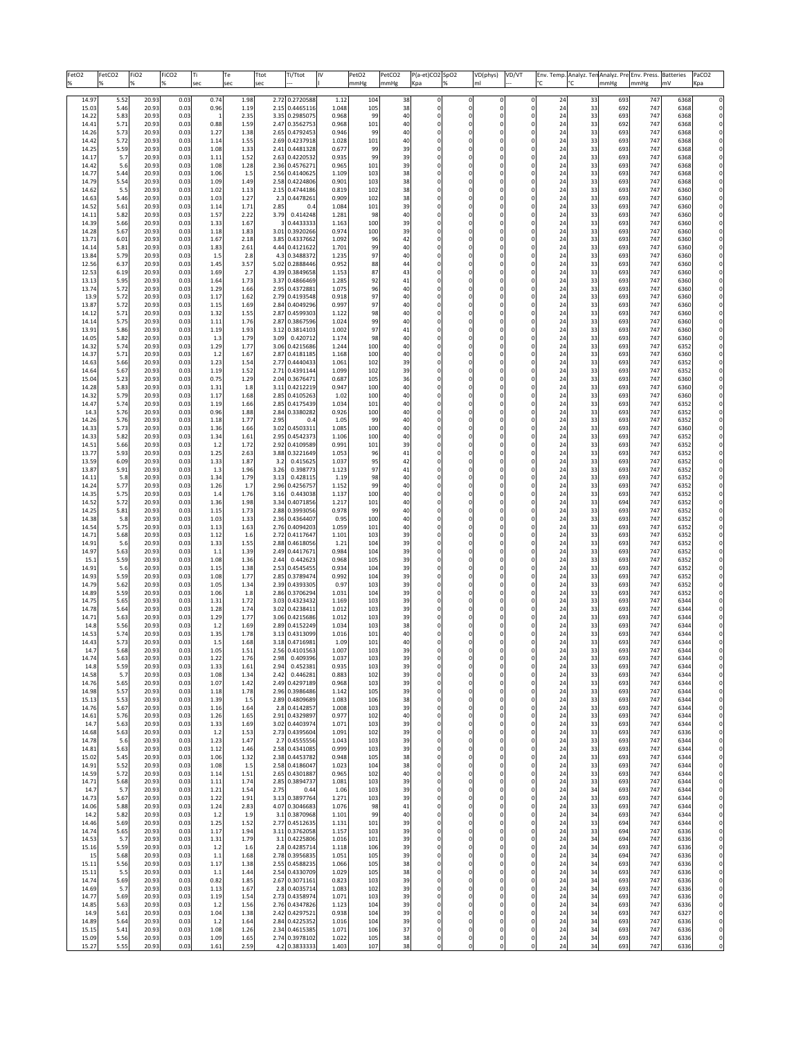| FetO2                   | FetCO <sub>2</sub><br>% | FiO <sub>2</sub>        | FiCO <sub>2</sub>    | ΠĪ.<br>sec           | Te<br>sec | Ttot<br>sec          |                      | Ti/Ttot                                           | IV                      | PetO <sub>2</sub><br>mmHg | PetCO <sub>2</sub><br>mmHg | P(a-et)CO2 SpO2<br>Kpa  | % | VD(phys)<br>ml                      | VD/VT       | °C                                     |                | Env. Temp. Analyz. Ten Analyz. Pre Env. Press. Batteries<br>°c | mmHg              | mmHg              | mV                   | PaCO <sub>2</sub><br>Kpa                      |
|-------------------------|-------------------------|-------------------------|----------------------|----------------------|-----------|----------------------|----------------------|---------------------------------------------------|-------------------------|---------------------------|----------------------------|-------------------------|---|-------------------------------------|-------------|----------------------------------------|----------------|----------------------------------------------------------------|-------------------|-------------------|----------------------|-----------------------------------------------|
| 14.97<br>15.03          | 5.52<br>5.46            | 20.93<br>20.93          | 0.03<br>0.03         | 0.74<br>0.96         |           | 1.98<br>1.19         |                      | 2.72 0.2720588<br>2.15 0.4465116                  | 1.12<br>1.048           | 104<br>105                | 38<br>38                   | 0<br>$\mathbf 0$        |   |                                     |             | $\Omega$<br> 0                         | 24<br>24       | 33<br>33                                                       | 693<br>692        | 747<br>747        | 6368<br>6368         | 0<br>$\mathbf 0$                              |
| 14.22<br>14.41          | 5.83<br>5.71            | 20.93<br>20.93          | 0.03<br>0.03         | 0.88                 |           | 2.35<br>1.59         | 3.35                 | 0.2985075<br>2.47 0.3562753                       | 0.968<br>0.968          | 99<br>101                 | 40<br>40                   | 0                       |   |                                     |             | $\circ$<br>$\Omega$                    | 24<br>24       | 33<br>33                                                       | 693<br>692        | 747<br>747        | 6368<br>6368         | $\pmb{0}$<br>0                                |
| 14.26<br>14.42          | 5.73<br>5.72            | 20.93<br>20.93          | 0.03<br>0.03         | 1.27<br>1.14         |           | 1.38<br>1.55         |                      | 2.65 0.4792453<br>2.69 0.4237918                  | 0.946<br>1.028          | 99<br>101                 | 40<br>40                   |                         |   |                                     |             | $\mathbf 0$<br>$\Omega$                | 24<br>24       | 33<br>33                                                       | 693<br>693        | 747<br>747        | 6368<br>6368         | 0<br>0                                        |
| 14.25<br>14.17          | 5.59<br>5.7             | 20.93<br>20.93          | 0.03<br>0.03         | 1.08<br>1.11         |           | 1.33<br>1.52         |                      | 2.41 0.4481328<br>2.63 0.4220532                  | 0.677<br>0.935          | 99<br>99                  | 39<br>39                   |                         |   |                                     |             | $\Omega$                               | 24<br>24       | 33<br>33                                                       | 693<br>693        | 747<br>747        | 6368<br>6368         | 0<br>0                                        |
| 14.42<br>14.77          | 5.6<br>5.44             | 20.93<br>20.93          | 0.03<br>0.03         | 1.08<br>1.06         |           | 1.28<br>1.5          |                      | 2.36 0.4576271<br>2.56 0.4140625                  | 0.965<br>1.109          | 101<br>103                | 39<br>38                   |                         |   |                                     |             |                                        | 24<br>24       | 33<br>33                                                       | 693<br>693        | 747<br>747        | 6368<br>6368         | 0<br>$\mathbf 0$                              |
| 14.79<br>14.62          | 5.54<br>5.5             | 20.93<br>20.93          | 0.03<br>0.03         | 1.09<br>1.02         |           | 1.49<br>1.13         |                      | 2.58 0.4224806<br>2.15 0.4744186                  | 0.901<br>0.819          | 103<br>102                | 38<br>38                   |                         |   |                                     |             |                                        | 24<br>24       | 33<br>33                                                       | 693<br>693        | 747<br>747        | 6368<br>6360         | $\mathbf 0$<br>0                              |
| 14.63<br>14.52          | 5.46<br>5.61            | 20.93<br>20.93          | 0.03<br>0.03         | 1.03<br>1.14         |           | 1.27<br>1.71         | 2.85                 | 2.3 0.4478261<br>0.4                              | 0.909<br>1.084          | 102<br>101                | 38<br>39                   |                         |   |                                     |             | $\mathbf 0$                            | 24<br>24       | 33<br>33                                                       | 693<br>693        | 747<br>747        | 6360<br>6360         | 0<br>0                                        |
| 14.11<br>14.39          | 5.82<br>5.66            | 20.93<br>20.93          | 0.03<br>0.03         | 1.57<br>1.33         |           | 2.22<br>1.67         | 3.79                 | 0.414248<br>3 0.4433333                           | 1.281<br>1.163          | 98<br>100                 | 40<br>39                   |                         |   |                                     |             | $\mathbf 0$<br>$\mathbf 0$             | 24<br>24       | 33<br>33                                                       | 693<br>693        | 747<br>747        | 6360<br>6360         | 0<br>$\mathbf 0$                              |
| 14.28<br>13.71          | 5.67<br>6.01            | 20.93<br>20.93          | 0.03<br>0.03         | 1.18<br>1.67         |           | 1.83<br>2.18         |                      | 3.01 0.3920266<br>3.85 0.4337662                  | 0.974<br>1.092          | 100<br>96                 | 39<br>42                   |                         |   |                                     |             | $\Omega$<br>$\Omega$                   | 24<br>24       | 33<br>33                                                       | 693<br>693        | 747<br>747        | 6360<br>6360         | 0<br>0                                        |
| 14.14<br>13.84          | 5.81<br>5.79            | 20.93<br>20.93          | 0.03<br>0.03         | 1.83<br>1.5          |           | 2.61<br>2.8          |                      | 4.44 0.4121622<br>4.3 0.3488372                   | 1.701<br>1.235          | 99<br>97                  | 40<br>40                   |                         |   |                                     |             |                                        | 24<br>24       | 33<br>33                                                       | 693<br>693        | 747<br>747        | 6360<br>6360         | 0<br>0                                        |
| 12.56<br>12.53          | 6.37<br>6.19            | 20.93<br>20.93          | 0.03<br>0.03         | 1.45<br>1.69         |           | 3.57<br>2.7          |                      | 5.02 0.2888446<br>4.39 0.3849658                  | 0.952<br>1.153          | 88<br>87                  | 44<br>43                   |                         |   |                                     |             |                                        | 24<br>24       | 33<br>33                                                       | 693<br>693        | 747<br>747        | 6360<br>6360         | 0<br>0                                        |
| 13.13<br>13.74          | 5.95<br>5.72            | 20.93<br>20.93          | 0.03<br>0.03         | 1.64<br>1.29         |           | 1.73<br>1.66         | 3.37                 | 0.4866469<br>2.95 0.4372881                       | 1.285<br>1.075          | 92<br>96                  | 41<br>40                   |                         |   |                                     |             | $\Omega$                               | 24<br>24       | 33<br>33                                                       | 693<br>693        | 747<br>747        | 6360<br>6360         | 0<br>0                                        |
| 13.9<br>13.87           | 5.72<br>5.72            | 20.93<br>20.93          | 0.03<br>0.03         | 1.17<br>1.15         |           | 1.62<br>1.69         |                      | 2.79 0.4193548<br>2.84 0.4049296                  | 0.918<br>0.997          | 97<br>97                  | 40<br>40                   |                         |   |                                     |             | $\mathbf 0$<br>$\mathbf 0$             | 24<br>24       | 33<br>33                                                       | 693<br>693        | 747<br>747        | 6360<br>6360         | 0<br>0                                        |
| 14.12<br>14.14<br>13.91 | 5.71<br>5.75            | 20.93<br>20.93<br>20.93 | 0.03<br>0.03<br>0.03 | 1.32<br>1.11<br>1.19 |           | 1.55<br>1.76<br>1.93 | 2.87                 | 0.4599303<br>2.87 0.3867596<br>3.12 0.3814103     | 1.122<br>1.024<br>1.002 | 98<br>99<br>97            | 40<br>40<br>41             |                         |   |                                     |             | $\mathbf 0$<br>$\mathbf 0$<br>$\Omega$ | 24<br>24<br>24 | 33<br>33<br>33                                                 | 693<br>693<br>693 | 747<br>747<br>747 | 6360<br>6360<br>6360 | 0<br>0<br>0                                   |
| 14.05<br>14.32          | 5.86<br>5.82<br>5.74    | 20.93<br>20.93          | 0.03<br>0.03         | 1.3<br>1.29          |           | 1.79<br>1.77         | 3.09                 | 0.420712<br>3.06 0.4215686                        | 1.174<br>1.244          | 98<br>100                 | 40<br>40                   |                         |   |                                     |             |                                        | 24<br>24       | 33<br>33                                                       | 693<br>693        | 747<br>747        | 6360<br>6352         | 0<br>0                                        |
| 14.37<br>14.63          | 5.71<br>5.66            | 20.93<br>20.93          | 0.03<br>0.03         | 1.2<br>1.23          |           | 1.67<br>1.54         |                      | 2.87 0.4181185<br>2.77 0.4440433                  | 1.168<br>1.061          | 100<br>102                | 40<br>39                   |                         |   |                                     |             |                                        | 24<br>24       | 33<br>33                                                       | 693<br>693        | 747<br>747        | 6360<br>6352         | 0<br>$\mathbf 0$                              |
| 14.64<br>15.04          | 5.67<br>5.23            | 20.93<br>20.93          | 0.03<br>0.03         | 1.19<br>0.75         |           | 1.52<br>1.29         |                      | 2.71 0.4391144<br>2.04 0.3676471                  | 1.099<br>0.687          | 102<br>105                | 39<br>36                   |                         |   |                                     |             | $\Omega$                               | 24<br>24       | 33<br>33                                                       | 693<br>693        | 747<br>747        | 6352<br>6360         | $\mathbf 0$<br>0                              |
| 14.28<br>14.32          | 5.83<br>5.79            | 20.93<br>20.93          | 0.03<br>0.03         | 1.31<br>1.17         |           | 1.8<br>1.68          |                      | 3.11 0.4212219<br>2.85 0.4105263                  | 0.947<br>1.02           | 100<br>100                | 40<br>40                   |                         |   |                                     |             | 0<br>$\mathbf 0$                       | 24<br>24       | 33<br>33                                                       | 693<br>693        | 747<br>747        | 6360<br>6360         | 0<br>0                                        |
| 14.47<br>14.3           | 5.74<br>5.76            | 20.93<br>20.93          | 0.03<br>0.03         | 1.19<br>0.96         |           | 1.66<br>1.88         |                      | 2.85 0.4175439<br>2.84 0.3380282                  | 1.034<br>0.926          | 101<br>100                | 40<br>40                   |                         |   |                                     |             | $\mathbf 0$<br>$\mathbf 0$             | 24<br>24       | 33<br>33                                                       | 693<br>693        | 747<br>747        | 6352<br>6352         | 0<br>$\mathbf 0$                              |
| 14.26<br>14.33          | 5.76<br>5.73            | 20.93<br>20.93          | 0.03<br>0.03         | 1.18<br>1.36         |           | 1.77<br>1.66         | 2.95                 | 0.4<br>3.02 0.4503311                             | 1.05<br>1.085           | 99<br>100                 | 40<br>40                   |                         |   |                                     |             | $\Omega$<br>$\Omega$                   | 24<br>24       | 33<br>33                                                       | 693<br>693        | 747<br>747        | 6352<br>6360         | 0<br>$\mathbf 0$                              |
| 14.33<br>14.51          | 5.82<br>5.66            | 20.93<br>20.93          | 0.03<br>0.03         | 1.34<br>1.2          |           | 1.61<br>1.72         | 2.92                 | 2.95 0.4542373<br>0.4109589                       | 1.106<br>0.991          | 100<br>101                | 40<br>39                   |                         |   |                                     |             |                                        | 24<br>24       | 33<br>33                                                       | 693<br>693        | 747<br>747        | 6352<br>6352         | 0<br>0                                        |
| 13.77<br>13.59          | 5.93<br>6.09            | 20.93<br>20.93          | 0.03<br>0.03         | 1.25<br>1.33         |           | 2.63<br>1.87         | 3.88<br>3.2          | 0.3221649<br>0.415625                             | 1.053<br>1.037          | 96<br>95                  | 41<br>42                   |                         |   |                                     |             |                                        | 24<br>24       | 33<br>33                                                       | 693<br>693        | 747<br>747        | 6352<br>6352         | $\mathbf 0$<br>$\mathbf 0$                    |
| 13.87<br>14.11          | 5.91<br>5.8             | 20.93<br>20.93          | 0.03<br>0.03         | 1.3<br>1.34          |           | 1.96<br>1.79         | 3.26<br>3.13         | 0.398773<br>0.428115                              | 1.123<br>1.19           | 97<br>98                  | 41<br>40                   |                         |   |                                     |             |                                        | 24<br>24       | 33<br>33                                                       | 693<br>693        | 747<br>747        | 6352<br>6352         | 0<br>0                                        |
| 14.24<br>14.35          | 5.77<br>5.75            | 20.93<br>20.93          | 0.03<br>0.03         | 1.26<br>1.4          |           | 1.7<br>1.76          | 2.96<br>3.16         | 0.4256757<br>0.443038                             | 1.152<br>1.137          | 99<br>100                 | 40<br>40                   |                         |   |                                     |             | $\mathbf 0$                            | 24<br>24       | 33<br>33                                                       | 693<br>693        | 747<br>747        | 6352<br>6352         | 0<br>0                                        |
| 14.52<br>14.25          | 5.72<br>5.81            | 20.93<br>20.93          | 0.03<br>0.03         | 1.36<br>1.15         |           | 1.98<br>1.73         |                      | 3.34 0.4071856<br>2.88 0.3993056                  | 1.217<br>0.978          | 101<br>99                 | 40<br>40                   |                         |   |                                     |             | $\mathbf 0$<br>$\mathbf 0$             | 24<br>24       | 33<br>33                                                       | 694<br>693        | 747<br>747        | 6352<br>6352         | $\mathbf 0$<br>$\mathbf 0$                    |
| 14.38<br>14.54          | 5.8<br>5.75             | 20.93<br>20.93          | 0.03<br>0.03         | 1.03<br>1.13         |           | 1.33<br>1.63         |                      | 2.36 0.4364407<br>2.76 0.4094203                  | 0.95<br>1.059           | 100<br>101                | 40<br>40                   |                         |   |                                     |             | $\Omega$                               | 24<br>24       | 33<br>33                                                       | 693<br>693        | 747<br>747        | 6352<br>6352         | 0<br>0                                        |
| 14.71<br>14.91          | 5.68<br>5.6             | 20.93<br>20.93          | 0.03<br>0.03         | 1.12<br>1.33         |           | 1.6<br>1.55          |                      | 2.72 0.4117647<br>2.88 0.4618056                  | 1.101<br>1.21           | 103<br>104                | 39<br>39                   |                         |   |                                     |             |                                        | 24<br>24       | 33<br>33                                                       | 693<br>693        | 747<br>747        | 6352<br>6352         | 0<br>0                                        |
| 14.97<br>15.1           | 5.63<br>5.59            | 20.93<br>20.93          | 0.03<br>0.03         | 1.1<br>1.08          |           | 1.39<br>1.36         | 2.44                 | 2.49 0.4417671<br>0.442623                        | 0.984<br>0.968          | 104<br>105                | 39<br>39                   |                         |   |                                     |             | $\Omega$                               | 24<br>24       | 33<br>33                                                       | 693<br>693        | 747<br>747        | 6352<br>6352         | $\mathbf 0$<br>0                              |
| 14.91<br>14.93          | 5.6<br>5.59             | 20.93<br>20.93          | 0.03<br>0.03         | 1.15<br>1.08         |           | 1.38<br>1.77         |                      | 2.53 0.4545455<br>2.85 0.3789474                  | 0.934<br>0.992          | 104<br>104                | 39<br>39                   |                         |   |                                     |             | $\Omega$<br>$\mathbf 0$                | 24<br>24       | 33<br>33                                                       | 693<br>693        | 747<br>747        | 6352<br>6352         | 0<br>0                                        |
| 14.79<br>14.89          | 5.62<br>5.59            | 20.93<br>20.93          | 0.03<br>0.03         | 1.05<br>1.06         |           | 1.34<br>1.8          |                      | 2.39 0.4393305<br>2.86 0.3706294                  | 0.97<br>1.031           | 103<br>104                | 39<br>39                   |                         |   |                                     |             | $\mathbf 0$<br>$\mathbf 0$             | 24<br>24       | 33<br>33                                                       | 693<br>693        | 747<br>747        | 6352<br>6352         | 0<br>$\mathbf 0$                              |
| 14.75<br>14.78          | 5.65<br>5.64            | 20.93<br>20.93          | 0.03<br>0.03         | 1.31<br>1.28         |           | 1.72<br>1.74         |                      | 3.03 0.4323432<br>3.02 0.4238411                  | 1.169<br>1.012          | 103<br>103                | 39<br>39                   |                         |   |                                     |             | $\mathbf 0$<br>$\Omega$                | 24<br>24       | 33<br>33                                                       | 693<br>693        | 747<br>747        | 6344<br>6344         | $\mathbf 0$<br>0                              |
| 14.71<br>14.8<br>14.53  | 5.63<br>5.56<br>5.74    | 20.93<br>20.93<br>20.93 | 0.03<br>0.03<br>0.03 | 1.29<br>1.2<br>1.35  |           | 1.77<br>1.69<br>1.78 | 3.06<br>2.89<br>3.13 | 0.4215686<br>0.4152249<br>0.4313099               | 1.012<br>1.034<br>1.016 | 103<br>103<br>101         | 39<br>38<br>40             |                         |   |                                     |             |                                        | 24<br>24<br>24 | 33<br>33<br>33                                                 | 693<br>693<br>693 | 747<br>747<br>747 | 6344<br>6344<br>6344 | 0<br>$\mathbf 0$                              |
| 14.43<br>14.7           | 5.73<br>5.68            | 20.93<br>20.93          | 0.03<br>0.03         | 1.5<br>1.05          |           | 1.68<br>1.51         |                      | 3.18 0.4716981<br>2.56 0.4101563                  | 1.09<br>1.007           | 101<br>103                | 40<br>39                   |                         |   |                                     |             |                                        | 24<br>24       | 33<br>33                                                       | 693<br>693        | 747<br>747        | 6344<br>6344         |                                               |
| 14.7<br>14.8            | 5.61<br>5.59            | 20.93<br>20.93          | 0.03<br>0.03         | 1.22<br>1.33         |           | 1.76<br>1.61         | 2.98<br>2.94         | 0.409396<br>0.452381                              | 1.037<br>0.935          | 103<br>103                | 39<br>39                   | $\mathbf 0$             |   | $\mathbf 0$                         |             | 0                                      | 24             | 33<br>33                                                       | 693<br>693        | 747<br>747        | 6344<br>6344         | 0<br>$\circ$                                  |
| 14.58<br>14.76          | 5.7<br>5.65             | 20.93<br>20.93          | 0.03<br>0.03         | 1.08<br>1.07         |           | 1.34<br>1.42         | 2.42                 | 0.446281<br>2.49 0.4297189                        | 0.883<br>0.968          | 102<br>103                | 39<br>39                   | 0<br>$\mathbf 0$        |   | $\mathbf 0$                         |             | 0 <br> 0                               | 24<br>24       | 33<br>33                                                       | 693<br>693        | 747<br>747        | 6344<br>6344         | $\begin{matrix} 0 \\ 0 \end{matrix}$          |
| 14.98<br>15.13          | 5.57<br>5.53            | 20.93<br>20.93          | 0.03<br>0.03         | 1.18<br>1.39         |           | 1.78<br>1.5          |                      | 2.96 0.3986486<br>2.89 0.4809689                  | 1.142<br>1.083          | 105<br>106                | 39<br>38                   | $\mathbf 0$<br>$\Omega$ |   | $\mathbf 0$<br>$\mathbf 0$          | $\mathbf 0$ | $\circ$<br> 0                          | 24<br>24       | 33<br>33                                                       | 693<br>693        | 747<br>747        | 6344<br>6344         | $\circ$<br>$\circ$                            |
| 14.76<br>14.61          | 5.67<br>5.76            | 20.93<br>20.93          | 0.03<br>0.03         | 1.16<br>1.26         |           | 1.64<br>1.65         |                      | 2.8 0.4142857<br>2.91 0.4329897                   | 1.008<br>0.977          | 103<br>102                | 39<br>40                   | $\Omega$<br>$\mathbf 0$ |   | $\mathbf 0$<br>$\mathbf 0$          |             | 0 <br> 0                               | 24<br>24       | 33<br>33                                                       | 693<br>693        | 747<br>747        | 6344<br>6344         | $\circ$<br> 0                                 |
| 14.7<br>14.68           | 5.63<br>5.63            | 20.93<br>20.93          | 0.03<br>0.03         | 1.33<br>1.2          |           | 1.69<br>1.53         |                      | 3.02 0.4403974<br>2.73 0.4395604                  | 1.071<br>1.091          | 103<br>102                | 39<br>39                   | $\mathbf 0$<br>0        |   | $\mathbf 0$                         |             | $\circ$<br>$\circ$                     | 24<br>24       | 33<br>33                                                       | 693<br>693        | 747<br>747        | 6344<br>6336         | $\begin{bmatrix} 0 \\ 0 \end{bmatrix}$        |
| 14.78<br>14.81          | 5.6<br>5.63             | 20.93<br>20.93          | 0.03<br>0.03         | 1.23<br>1.12         |           | 1.47<br>1.46         |                      | 2.7 0.4555556<br>2.58 0.4341085                   | 1.043<br>0.999          | 103<br>103                | 39<br>39                   | $\Omega$<br>$\Omega$    |   |                                     |             | $\mathbf 0$<br>$\Omega$                | 24<br>24       | 33<br>33                                                       | 693<br>693        | 747<br>747        | 6344<br>6344         | $\circ$<br>$\circ$                            |
| 15.02<br>14.91          | 5.45<br>5.52            | 20.93<br>20.93          | 0.03<br>0.03         | 1.06<br>1.08         |           | 1.32<br>1.5          |                      | 2.38 0.4453782<br>2.58 0.4186047                  | 0.948<br>1.023          | 105<br>104                | 38<br>38                   | $\Omega$<br>$\Omega$    |   | $\mathbf 0$<br>$\mathbf 0$          |             | 0 <br> 0                               | 24<br>24       | 33<br>33                                                       | 693<br>693        | 747<br>747        | 6344<br>6344         | $\begin{bmatrix} 0 \\ 0 \\ 0 \end{bmatrix}$   |
| 14.59<br>14.71          | 5.72<br>5.68            | 20.93<br>20.93          | 0.03<br>0.03         | 1.14<br>1.11         |           | 1.51<br>1.74         |                      | 2.65 0.4301887<br>2.85 0.3894737                  | 0.965<br>1.081          | 102<br>103                | 40<br>39                   | $\mathbf 0$<br>$\Omega$ |   | $\mathbf 0$                         |             | 0 <br>$\circ$                          | 24<br>24       | 33<br>33                                                       | 693<br>693        | 747<br>747        | 6344<br>6344         | $\circ$                                       |
| 14.7<br>14.73           | 5.7<br>5.67             | 20.93<br>20.93          | 0.03<br>0.03         | 1.21<br>1.22         |           | 1.54<br>1.91         | 2.75                 | 0.44<br>3.13 0.3897764                            | 1.06<br>1.271           | 103<br>103                | 39<br>39                   | $\Omega$<br>$\Omega$    |   | $\Omega$<br>$\Omega$                |             | $\circ$<br> 0                          | 24<br>24       | 34<br>33                                                       | 693<br>693        | 747<br>747        | 6344<br>6344         | $\circ$<br>$\circ$                            |
| 14.06<br>14.2           | 5.88<br>5.82            | 20.93<br>20.93          | 0.03<br>0.03         | 1.24<br>1.2          |           | 2.83<br>1.9          |                      | 4.07 0.3046683<br>3.1 0.3870968                   | 1.076<br>1.101          | 98<br>99                  | $41\,$<br>40               | C                       |   | $\Omega$                            |             | $^{\circ}$<br>$\mathbf 0$              | 24<br>24       | 33<br>34                                                       | 693<br>693        | 747<br>747        | 6344<br>6344         | $\circ$<br>$\bf{0}$                           |
| 14.46<br>14.74          | 5.69<br>5.65            | 20.93<br>20.93          | 0.03<br>0.03         | 1.25<br>1.17         |           | 1.52<br>1.94         |                      | 2.77 0.4512635<br>3.11 0.3762058                  | 1.131<br>1.157          | 101<br>103                | 39<br>39                   | C                       |   |                                     |             | $\mathbf 0$<br>$\Omega$                | 24<br>24       | 33<br>33                                                       | 694<br>694        | 747<br>747        | 6344<br>6336         | $\bf{0}$<br>$\bf{0}$                          |
| 14.53<br>15.16          | 5.7<br>5.59             | 20.93<br>20.93          | 0.03<br>0.03         | 1.31<br>$1.2\,$      |           | 1.79<br>1.6          |                      | 3.1 0.4225806<br>2.8 0.4285714                    | 1.016<br>1.118          | 101<br>106                | 39<br>39                   | $\Omega$<br>$\Omega$    |   | $\Omega$                            |             | $\Omega$<br>$\Omega$                   | 24<br>24       | 34<br>34                                                       | 694<br>693        | 747<br>747        | 6336<br>6336         | $\mathbf 0$<br>$\mathbf 0$                    |
| 15<br>15.11             | 5.68<br>5.56            | 20.93<br>20.93          | 0.03<br>0.03         | $1.1\,$<br>1.17      |           | 1.68<br>1.38         |                      | 2.78 0.3956835<br>2.55 0.4588235                  | 1.051<br>1.066          | 105<br>105                | 39<br>38                   | $\Omega$<br>0           |   | $\Omega$                            |             | 0 <br> 0                               | 24<br>24       | 34<br>34                                                       | 694<br>693        | 747<br>747        | 6336<br>6336         | $\begin{smallmatrix}0\0\0\0\end{smallmatrix}$ |
| 15.11<br>14.74          | 5.5<br>5.69             | 20.93<br>20.93          | 0.03<br>0.03         | 1.1<br>0.82          |           | 1.44<br>1.85         |                      | 2.54 0.4330709<br>2.67 0.3071161                  | 1.029<br>0.823          | 105<br>103                | 38<br>39                   | 0<br>$\Omega$           |   | $\Omega$                            |             | 0 <br>$\circ$                          | 24<br>24       | 34<br>34                                                       | 693<br>693        | 747<br>747        | 6336<br>6336         | $\circ$                                       |
| 14.69<br>14.77          | 5.7<br>5.69<br>5.63     | 20.93<br>20.93<br>20.93 | 0.03<br>0.03<br>0.03 | 1.13<br>1.19<br>1.2  |           | 1.67<br>1.54<br>1.56 |                      | 2.8 0.4035714<br>2.73 0.4358974<br>2.76 0.4347826 | 1.083<br>1.071<br>1.123 | 102<br>103<br>104         | 39<br>39                   | $\Omega$<br>0<br>0      |   | $\Omega$<br>$\mathbf 0$<br>$\Omega$ |             | 0 <br> 0 <br>$\Omega$                  | 24<br>24<br>24 | 34<br>34<br>34                                                 | 693<br>693<br>693 | 747<br>747<br>747 | 6336<br>6336<br>6336 | $\circ$<br>$\circ$<br>$\circ$                 |
| 14.85<br>14.9<br>14.89  | 5.61<br>5.64            | 20.93<br>20.93          | 0.03<br>0.03         | 1.04<br>1.2          |           | 1.38<br>1.64         |                      | 2.42 0.4297521<br>2.84 0.4225352                  | 0.938<br>1.016          | 104<br>104                | 39<br>39<br>39             | C                       |   | $\mathbf 0$                         |             | $\circ$<br>$\mathbf 0$                 | 24<br>24       | 34<br>34                                                       | 693<br>693        | 747<br>747        | 6327<br>6336         | $\circ$                                       |
| 15.15<br>15.09          | 5.41                    | 20.93<br>20.93          | 0.03<br>0.03         | 1.08<br>1.09         |           | 1.26<br>1.65         |                      | 2.34 0.4615385<br>2.74 0.3978102                  | 1.071<br>1.022          | 106<br>105                | 37<br>38                   | C<br>$\Omega$           |   | $\Omega$                            |             | $\mathbf 0$<br>$\Omega$                | 24<br>24       | 34<br>34                                                       | 693<br>693        | 747<br>747        | 6336<br>6336         | $\circ$<br>$\circ$                            |
| 15.27                   | 5.56<br>5.55            | 20.93                   | 0.03                 | 1.61                 |           | 2.59                 |                      | 4.2 0.3833333                                     | 1.403                   | 107                       | 38                         | 0                       |   |                                     |             |                                        | 24             | 34                                                             | 693               | 747               | 6336                 | $\circ$<br>$\overline{0}$                     |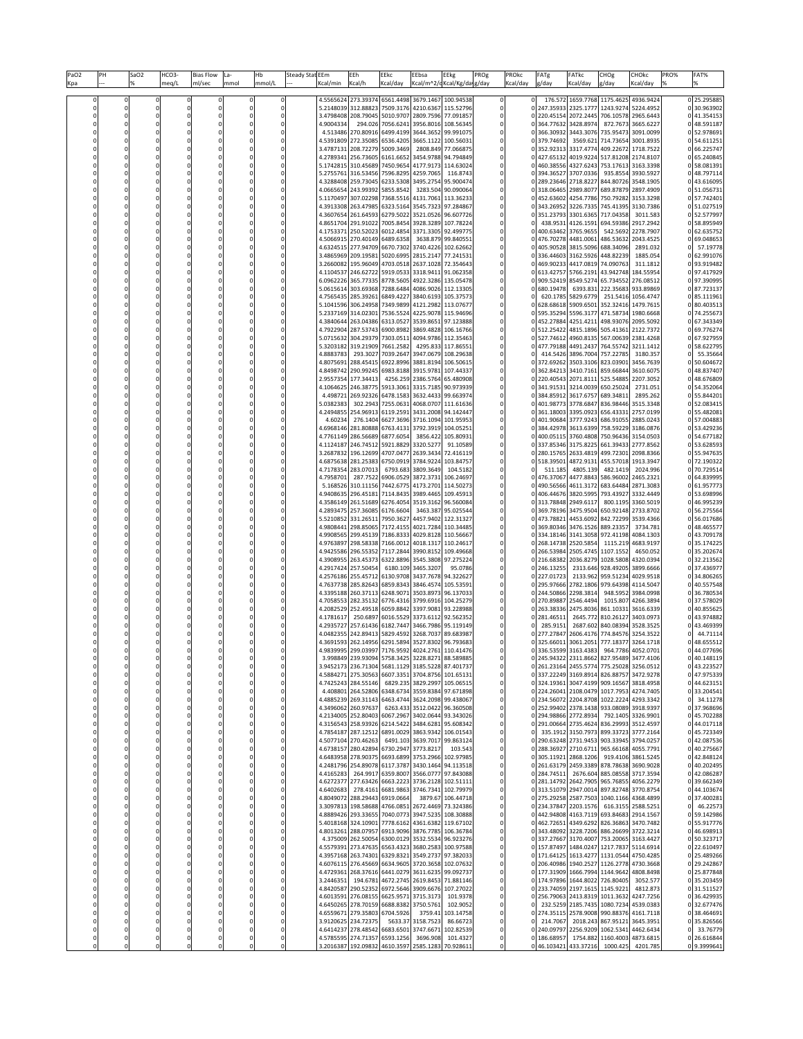| PaO <sub>2</sub><br>Kpa | PH               | SaO <sub>2</sub>           | HCO3-<br>meq/L   | <b>Bias Flow</b><br>ml/sec | La-<br>mmol | Hb<br>mmol/L            | <b>Steady Stat EEm</b> | Kcal/min  | EEh<br>Kcal/h                                                                                          | EEkc<br>Kcal/day | EEbsa                                  | EEkg<br>Kcal/m^2/dKcal/Kg/dayg/day | PROg                        | PROkc<br>Kcal/day | FATg<br>g/day           | FATkc<br>Kcal/day                                                                      | CHOg<br>g/day                                                | CHOkc<br>Kcal/day    | PRO%<br>$\%$ | FAT%                       |
|-------------------------|------------------|----------------------------|------------------|----------------------------|-------------|-------------------------|------------------------|-----------|--------------------------------------------------------------------------------------------------------|------------------|----------------------------------------|------------------------------------|-----------------------------|-------------------|-------------------------|----------------------------------------------------------------------------------------|--------------------------------------------------------------|----------------------|--------------|----------------------------|
|                         |                  |                            |                  |                            |             |                         |                        |           | 4.5565624 273.39374 6561.4498 3679.1467 100.94538                                                      |                  |                                        |                                    |                             |                   |                         | 176.572 1659.7768 1175.4625 4936.9424                                                  |                                                              |                      |              | 0 25.295885                |
|                         |                  | $\Omega$                   | 0                |                            |             | 0                       |                        |           | 5.2148039 312.88823 7509.3176 4210.6367 115.52796                                                      |                  |                                        |                                    | 0                           |                   |                         | 0 247.35933 2325.1777 1243.9274 5224.4952                                              |                                                              |                      |              | 0 30.963902                |
|                         |                  | $\Omega$                   | 0                |                            |             |                         |                        |           | 3.4798408 208.79045 5010.9707 2809.7596 77.091857                                                      |                  |                                        |                                    | 0                           |                   |                         | 0 220.45154 2072.2445 706.10578 2965.6443                                              |                                                              |                      |              | 0 41.354153                |
|                         |                  | 0                          |                  |                            |             |                         |                        | 4.9004334 | 4.513486 270.80916 6499.4199 3644.3652 99.991075                                                       |                  | 294.026 7056.6241 3956.8016 108.56345  |                                    | 0<br>$\theta$               |                   |                         | 364.77632 3428.8974 872.7673 3665.6227<br>366.30932 3443.3076 735.95473 3091.0099      |                                                              |                      |              | 0 48.591187<br>0 52.978691 |
|                         |                  |                            |                  |                            |             |                         |                        |           | 4.5391809 272.35085 6536.4205 3665.1122 100.56031                                                      |                  |                                        |                                    | 0                           |                   | 379.74692               |                                                                                        | 3569.621 714.73654 3001.8935                                 |                      |              | 0 54.611251                |
|                         |                  |                            |                  |                            |             |                         |                        |           | 3.4787131 208.72279 5009.3469                                                                          |                  |                                        | 2808.849 77.066875                 | $\Omega$                    |                   |                         | 0 352.92313 3317.4774 409.22672 1718.7522                                              |                                                              |                      |              | 0 66.225747                |
|                         |                  |                            |                  |                            |             |                         |                        |           | 4.2789341 256.73605 6161.6652 3454.9788 94.794849<br>5.1742815 310.45689 7450.9654 4177.9173 114.63024 |                  |                                        |                                    | 0<br>0                      |                   |                         | 0 427.65132 4019.9224 517.81208 2174.8107<br>460.38556 4327.6243 753.17613 3163.3398   |                                                              |                      |              | 0 65.240845<br>0 58.081391 |
|                         |                  |                            |                  |                            |             |                         |                        |           | 5.2755761 316.53456 7596.8295 4259.7065 116.8743                                                       |                  |                                        |                                    | 0                           |                   |                         | 0 394.36527 3707.0336 935.8554 3930.5927                                               |                                                              |                      |              | 0 48.797114                |
|                         |                  |                            |                  |                            |             |                         |                        |           | 4.3288408 259.73045 6233.5308 3495.2754 95.900474                                                      |                  |                                        |                                    | 0                           |                   |                         | 289.23646 2718.8227 844.80726 3548.1905                                                |                                                              |                      |              | 0 43.616095                |
|                         |                  |                            |                  |                            |             |                         |                        |           | 4.0665654 243.99392 5855.8542<br>5.1170497 307.02298 7368.5516 4131.7061 113.36233                     |                  |                                        | 3283.504 90.090064                 | 0<br>0                      |                   |                         | 0 318.06465 2989.8077 689.87879 2897.4909<br>0 452.63602 4254.7786 750.79282 3153.3298 |                                                              |                      |              | 051.056731<br>0 57.742401  |
|                         |                  |                            |                  |                            |             |                         |                        |           | 4.3913308 263.47985 6323.5164 3545.7323 97.284867                                                      |                  |                                        |                                    | 0                           | $\Omega$          |                         | 343.26952 3226.7335 745.41395 3130.7386                                                |                                                              |                      |              | 051.027519                 |
|                         |                  |                            |                  |                            |             |                         |                        |           | 4.3607654 261.64593 6279.5022 3521.0526 96.607726                                                      |                  |                                        |                                    | 0                           | $\Omega$<br>ΩI    |                         | 351.23793 3301.6365 717.04358 3011.583                                                 |                                                              |                      |              | 052.577997                 |
|                         |                  |                            |                  |                            |             |                         |                        |           | 4.8651704 291.91022 7005.8454 3928.3289 107.78224<br>4.1753371 250.52023 6012.4854 3371.3305 92.499775 |                  |                                        |                                    | 0<br>$\Omega$               | $\Omega$          |                         | 438.9531 4126.1591 694.59386 2917.2942<br>400.63462 3765.9655                          |                                                              | 542.5692 2278.7907   |              | 0 58.895949<br>0 62.635752 |
|                         |                  | $\Omega$                   |                  |                            |             |                         |                        |           | 4.5066915 270.40149 6489.6358 3638.879 99.840551                                                       |                  |                                        |                                    | $\Omega$                    |                   |                         | 0 476.70278 4481.0061 486.53632 2043.4525                                              |                                                              |                      |              | 0 69.048653                |
|                         |                  |                            |                  |                            |             |                         |                        |           | 4.6324515 277.94709 6670.7302 3740.4226 102.62662<br>3.4865969 209.19581 5020.6995 2815.2147 77.241531 |                  |                                        |                                    | 0<br>0                      |                   |                         | 0 405.90528 3815.5096 688.34096<br>0 336.44603 3162.5926 448.82239                     |                                                              | 2891.032<br>1885.054 |              | 0 57.19778<br>0 62.991076  |
|                         |                  |                            |                  |                            |             |                         |                        |           | 3.2660082 195.96049 4703.0518 2637.1028 72.354643                                                      |                  |                                        |                                    | 0                           |                   |                         | 0 469.90233 4417.0819 74.090763 311.1812                                               |                                                              |                      |              | 0 93.919482                |
|                         |                  | 0                          |                  |                            |             |                         |                        |           | 4.1104537 246.62722 5919.0533 3318.9411 91.062358                                                      |                  |                                        |                                    | 0                           |                   |                         | 0 613.42757 5766.2191 43.942748 184.55954                                              |                                                              |                      |              | 0 97.417929                |
|                         |                  | 0<br>0                     |                  |                            |             |                         |                        |           | 6.0962226 365.77335 8778.5605 4922.3286 135.05478<br>5.0615614 303.69368 7288.6484 4086.9026 112.13305 |                  |                                        |                                    | 0<br>0                      |                   | 680.19478               | 0 909.52419 8549.5274 65.734552 276.08512                                              | 6393.831 222.35683 933.89869                                 |                      |              | 0 97.390995<br>0 87.723137 |
|                         |                  |                            |                  |                            |             |                         |                        |           | 4.7565435 285.39261 6849.4227 3840.6193 105.37573                                                      |                  |                                        |                                    | 0                           |                   |                         | 620.1785 5829.6779                                                                     |                                                              | 251.5416 1056.4747   |              | 0 85.111961                |
|                         |                  |                            |                  |                            |             |                         |                        |           | 5.1041596 306.24958 7349.9899 4121.2982 113.07677                                                      |                  |                                        |                                    | 0                           |                   |                         | 628.68618 5909.6501 352.32416 1479.7615                                                |                                                              |                      |              | 0 80.403513                |
|                         |                  |                            |                  |                            |             |                         |                        |           | 5.2337169 314.02301 7536.5524 4225.9078 115.94696<br>4.3840644 263.04386 6313.0527 3539.8651 97.123888 |                  |                                        |                                    | 0<br>0                      |                   |                         | 595.35294 5596.3177 471.58734 1980.6668<br>452.27884 4251.4211 498.93076 2095.5092     |                                                              |                      |              | 0 74.255673<br>0 67.343349 |
|                         |                  |                            |                  |                            |             |                         |                        |           | 4.7922904 287.53743 6900.8982 3869.4828 106.16766                                                      |                  |                                        |                                    | 0                           |                   |                         | 0 512.25422 4815.1896 505.41361 2122.7372                                              |                                                              |                      |              | 0 69.776274                |
|                         |                  |                            |                  |                            |             |                         |                        |           | 5.0715632 304.29379 7303.0511 4094.9786 112.35463                                                      |                  |                                        | 4295.833 117.86551                 | 0<br>0                      |                   |                         | 0 527.74612 4960.8135 567.00639 2381.4268<br>0 477.79188 4491.2437 764.55742 3211.1412 |                                                              |                      |              | 0 67.927959                |
|                         |                  |                            |                  |                            |             |                         |                        | 4.8883783 | 5.3203182 319.21909 7661.2582                                                                          |                  | 293.3027 7039.2647 3947.0679 108.29638 |                                    | 0                           |                   |                         | 414.5426 3896.7004 757.22785 3180.357                                                  |                                                              |                      |              | 058.622795<br>0 55.35664   |
|                         |                  |                            |                  |                            |             |                         |                        |           | 4.8075691 288.45415 6922.8996 3881.8194 106.50615                                                      |                  |                                        |                                    | 0                           |                   |                         | 0 372.69262 3503.3106 823.03901 3456.7639                                              |                                                              |                      |              | 0 50.604672                |
|                         |                  |                            |                  |                            |             |                         |                        |           | 4.8498742 290.99245 6983.8188 3915.9781 107.44337                                                      |                  |                                        |                                    | 0                           |                   |                         | 0 362.84213 3410.7161 859.66844 3610.6075                                              |                                                              |                      |              | 0 48.837407                |
|                         |                  |                            |                  |                            |             |                         |                        |           | 2.9557354 177.34413 4256.259 2386.5764 65.480908<br>4.1064625 246.38775 5913.3061 3315.7185 90.973939  |                  |                                        |                                    | 0<br>0                      |                   |                         | 0 220.40543 2071.8111 525.54885 2207.3052<br>0 341.91531 3214.0039 650.25024 2731.051  |                                                              |                      |              | 0 48.676809<br>0 54.352064 |
|                         |                  |                            |                  |                            |             |                         |                        |           | 4.498721 269.92326 6478.1583 3632.4433 99.663974                                                       |                  |                                        |                                    |                             | $\Omega$          |                         | 384.85912 3617.6757 689.34811 2895.262                                                 |                                                              |                      |              | 0 55.844201                |
|                         |                  |                            |                  |                            |             |                         |                        | 5.0382383 | 4.2494855 254.96913 6119.2591 3431.2008 94.142447                                                      |                  | 302.2943 7255.0631 4068.0707 111.61636 |                                    | 0<br>0                      | $\Omega$          |                         | 401.98773 3778.6847 836.98446 3515.3348<br>0 361.18003 3395.0923 656.43331 2757.0199   |                                                              |                      |              | 0 52.083415<br>0 55.482081 |
|                         |                  |                            |                  |                            |             |                         |                        | 4.60234   |                                                                                                        |                  | 276.1404 6627.3696 3716.1094 101.95953 |                                    | 0                           |                   |                         | 0 401.90684 3777.9243 686.91055 2885.0243                                              |                                                              |                      |              | 057.004883                 |
|                         |                  |                            |                  |                            |             |                         |                        |           | 4.6968146 281.80888 6763.4131 3792.3919 104.05251                                                      |                  |                                        |                                    | 0                           |                   |                         | 0 384.42978 3613.6399 758.59229 3186.0876                                              |                                                              |                      |              | 0 53.429236                |
|                         |                  |                            |                  |                            |             |                         |                        |           | 4.7761149 286.56689 6877.6054<br>4.1124187 246.74512 5921.8829 3320.5277 91.10589                      |                  |                                        | 3856.422 105.80931                 | 0<br>0                      |                   |                         | 0 400.05115 3760.4808 750.96436 3154.0503<br>0 337.85346 3175.8225 661.39433 2777.8562 |                                                              |                      |              | 054.677182<br>0 53.628593  |
|                         |                  | 0                          |                  |                            |             |                         |                        |           | 3.2687832 196.12699 4707.0477 2639.3434 72.416119                                                      |                  |                                        |                                    | 0                           |                   |                         | 0 280.15765 2633.4819 499.72301 2098.8366                                              |                                                              |                      |              | 0 55.947635                |
|                         |                  | 0                          |                  |                            |             |                         |                        |           | 4.6875638 281.25383 6750.0919 3784.9224 103.84757                                                      |                  |                                        |                                    | 0                           |                   |                         | 0 518.39501 4872.9131 455.57018 1913.3947                                              |                                                              |                      |              | 0 72.190322                |
|                         |                  | 0                          |                  |                            |             |                         |                        | 4.7958701 | 4.7178354 283.07013 6793.683 3809.3649 104.5182                                                        |                  | 287.7522 6906.0529 3872.3731 106.24697 |                                    | 0<br>0                      | $\Omega$          | 511.185                 | 4805.139<br>476.37067 4477.8843 586.96002 2465.2321                                    |                                                              | 482.1419 2024.996    |              | 0 70.729514<br>0 64.839995 |
|                         |                  |                            |                  |                            |             |                         |                        |           | 5.168526 310.11156 7442.6775 4173.2701 114.50273                                                       |                  |                                        |                                    | 0                           |                   |                         | 490.56566 4611.3172 683.64484 2871.3083                                                |                                                              |                      |              | 0 61.957773                |
|                         |                  |                            |                  |                            |             |                         |                        |           | 4.9408635 296.45181 7114.8435 3989.4465 109.45913                                                      |                  |                                        |                                    | 0                           |                   |                         | 406.44676 3820.5995 793.43927 3332.4449                                                |                                                              |                      |              | 0 53.698996                |
|                         |                  |                            |                  |                            |             |                         |                        |           | 4.3586149 261.51689 6276.4054 3519.3162 96.560084<br>4.2893475 257.36085 6176.6604                     |                  |                                        | 3463.387 95.025544                 | 0<br>0                      |                   |                         | 313.78848 2949.6117<br>369.78196 3475.9504 650.92148 2733.8702                         |                                                              | 800.1195 3360.5019   |              | 0 46.995239<br>056.275564  |
|                         |                  |                            |                  |                            |             |                         |                        |           | 5.5210852 331.26511 7950.3627 4457.9402 122.31327                                                      |                  |                                        |                                    | 0                           |                   |                         | 0 473.78821 4453.6092 842.72299 3539.4366                                              |                                                              |                      |              | 0 56.017686                |
|                         |                  |                            |                  |                            |             |                         |                        |           | 4.9808441 298.85065 7172.4155 4021.7284 110.34485<br>4.9908565 299.45139 7186.8333 4029.8128 110.56667 |                  |                                        |                                    | 0                           |                   |                         | 0 369.80346 3476.1526 889.23357 3734.781<br>0 334.18146 3141.3058 972.41198 4084.1303  |                                                              |                      |              | 0 48.465577<br>0 43.709178 |
|                         |                  |                            |                  |                            |             |                         |                        |           | 4.9763897 298.58338 7166.0012 4018.1317 110.24617                                                      |                  |                                        |                                    |                             |                   |                         | 0 268.14738 2520.5854 1115.219 4683.9197                                               |                                                              |                      |              | 035.174225                 |
|                         |                  |                            |                  |                            |             |                         |                        |           | 4.9425586 296.55352 7117.2844 3990.8152 109.49668                                                      |                  |                                        |                                    | 0                           |                   |                         | 0 266.53984 2505.4745 1107.1552 4650.052                                               |                                                              |                      |              | 035.202674                 |
|                         |                  |                            |                  |                            |             |                         |                        |           | 4.3908955 263.45373 6322.8896 3545.3808 97.275224<br>4.2917424 257.50454 6180.109 3465.3207            |                  |                                        | 95.0786                            | 0<br>0                      |                   | 0 246.13255             | 0 216.68382 2036.8279 1028.5808 4320.0394                                              | 2313.646 928.49205 3899.6666                                 |                      |              | 032.213562<br>037.436977   |
|                         |                  |                            |                  |                            |             |                         |                        |           | 4.2576186 255.45712 6130.9708 3437.7678 94.322627                                                      |                  |                                        |                                    | 0                           |                   | 0 227.01723             |                                                                                        | 2133.962 959.51234 4029.9518                                 |                      |              | 034.806265                 |
|                         |                  |                            |                  |                            |             |                         |                        |           | 4.7637738 285.82643 6859.8343 3846.4574 105.53591<br>4.3395188 260.37113 6248.9071 3503.8973 96.137033 |                  |                                        |                                    | $\Omega$                    | $\Omega$          |                         | 0 295.97666 2782.1806 979.64398 4114.5047<br>244.50866 2298.3814                       |                                                              | 948.5952 3984.0998   |              | 0 40.557548<br>036.780534  |
|                         |                  |                            |                  |                            |             |                         |                        |           | 4.7058553 282.35132 6776.4316 3799.6916 104.25279                                                      |                  |                                        |                                    | $\Omega$                    |                   |                         | 0 270.89887 2546.4494                                                                  |                                                              | 1015.807 4266.3894   |              | 037.578029                 |
|                         |                  |                            |                  |                            |             |                         |                        |           | 4.2082529 252.49518 6059.8842 3397.9081 93.228988                                                      |                  |                                        |                                    | 0                           |                   |                         | 0 263.38336 2475.8036 861.10331 3616.6339                                              |                                                              |                      |              | 0 40.855625                |
|                         |                  |                            |                  |                            |             |                         |                        | 4.1781617 | 4.2935727 257.61436 6182.7447 3466.7986 95.119149                                                      |                  | 250.6897 6016.5529 3373.6112 92.562352 |                                    | 0<br>0                      | 이                 | 0 281.46511<br>285.9151 |                                                                                        | 2645.772 810.26127 3403.0973<br>2687.602 840.08394 3528.3525 |                      |              | 0 43.974882<br>0 43.469399 |
|                         |                  |                            |                  |                            |             |                         |                        |           | 4.0482355 242.89413 5829.4592 3268.7037 89.683987                                                      |                  |                                        |                                    | 0                           |                   |                         | 0 277.27847 2606.4176 774.84576 3254.3522                                              |                                                              |                      |              | 0 44.71114                 |
|                         |                  |                            |                  |                            |             |                         |                        |           | 4.3691593 262.14956 6291.5894 3527.8302 96.793683<br>4.9839995 299.03997 7176.9592 4024.2761 110.41476 |                  |                                        |                                    | $\circ$<br>$\circ$          |                   |                         | 0 325.66011 3061.2051 777.18377 3264.1718<br>0 336.53599 3163.4383 964.7786 4052.0701  |                                                              |                      |              | 0 48.655512<br>0 44.077696 |
|                         |                  |                            |                  |                            |             |                         |                        |           | 3.998849 239.93094 5758.3425 3228.8271 88.589885                                                       |                  |                                        |                                    | $\Omega$                    |                   |                         | 0 245.94322 2311.8662 827.95489 3477.4106                                              |                                                              |                      |              | 0 40.148119                |
|                         |                  | $\Omega$                   |                  |                            |             |                         |                        |           | 3.9452173 236.71304 5681.1129 3185.5228 87.401737                                                      |                  |                                        |                                    | $\Omega$                    |                   |                         | 0 261.23164 2455.5774 775.25028 3256.0512                                              |                                                              |                      |              | 0 43.223527                |
|                         | 0<br>$\mathbf 0$ | $\overline{0}$<br>$\Omega$ | 0<br>$\mathbf 0$ |                            |             |                         |                        |           | 4.5884271 275.30563 6607.3351 3704.8756 101.65131<br>4.7425243 284.55146 6829.235 3829.2997 105.06515  |                  |                                        |                                    | $\Omega$<br>$\Omega$        |                   |                         | 0 337.22249 3169.8914 826.88757 3472.9278<br>0 324.19361 3047.4199 909.16567 3818.4958 |                                                              |                      |              | 0 47.975339<br>0 44.623151 |
|                         | $\mathbf 0$      | $\Omega$                   |                  |                            |             |                         |                        |           | 4.408801 264.52806 6348.6734 3559.8384 97.671898                                                       |                  |                                        |                                    | $\circ$                     |                   |                         | 0 224.26041 2108.0479 1017.7953 4274.7405                                              |                                                              |                      |              | 033.204541                 |
|                         |                  | $\Omega$                   | $\Omega$         |                            |             |                         |                        |           | 4.4885239 269.31143 6463.4744 3624.2098 99.438067                                                      |                  |                                        |                                    | $\circ$                     |                   |                         | 0 234.56072 2204.8708 1022.2224 4293.3342                                              |                                                              |                      |              | 0 34.11278                 |
|                         | $\mathbf 0$      | $\Omega$<br>$\mathbf 0$    | $\Omega$<br>0    |                            |             | $\Omega$                |                        |           | 4.3496062 260.97637 6263.433 3512.0422 96.360508<br>4.2134005 252.80403 6067.2967 3402.0644 93.343026  |                  |                                        |                                    | $\circ$<br>$\mathbf{0}$     |                   |                         | 0 252.99402 2378.1438 933.08089 3918.9397<br>0 294.98866 2772.8934 792.1405 3326.9901  |                                                              |                      |              | 037.968696<br>0 45.702288  |
|                         |                  |                            |                  |                            |             |                         |                        |           | 4.3156543 258.93926 6214.5422 3484.6281 95.608342                                                      |                  |                                        |                                    | $\mathbf{0}$                |                   |                         | 0 291.00664 2735.4624 836.29993 3512.4597                                              |                                                              |                      |              | 0 44.017118                |
|                         |                  |                            |                  |                            |             |                         |                        |           | 4.7854187 287.12512 6891.0029 3863.9342 106.01543<br>4.5077104 270.46263 6491.103 3639.7017 99.863124  |                  |                                        |                                    | $\mathbf{0}$<br>$\mathbf 0$ | 0                 |                         | 335.1912 3150.7973 899.33723 3777.2164<br>0 290.63248 2731.9453 903.33945 3794.0257    |                                                              |                      |              | 0 45.723349<br>0 42.087536 |
|                         |                  |                            |                  |                            |             |                         |                        |           | 4.6738157 280.42894 6730.2947 3773.8217 103.543                                                        |                  |                                        |                                    | $\Omega$                    |                   |                         | 0 288.36927 2710.6711 965.66168 4055.7791                                              |                                                              |                      |              | 0 40.275667                |
|                         |                  |                            |                  |                            |             |                         |                        |           | 4.6483958 278.90375 6693.6899 3753.2966 102.97985                                                      |                  |                                        |                                    | 0                           |                   |                         | 0 305.11921 2868.1206 919.4106 3861.5245                                               |                                                              |                      |              | 0 42.848124                |
|                         |                  |                            |                  |                            |             |                         |                        |           | 4.2481796 254.89078 6117.3787 3430.1464 94.113518<br>4.4165283 264.9917 6359.8007 3566.0777 97.843088  |                  |                                        |                                    |                             |                   |                         | 0 261.63179 2459.3389 878.78638 3690.9028<br>0 284.74511 2676.604 885.08558 3717.3594  |                                                              |                      |              | 0 40.202495<br>0 42.086287 |
|                         |                  | $\mathbf 0$                |                  |                            |             |                         |                        |           | 4.6272377 277.63426 6663.2223 3736.2128 102.51111                                                      |                  |                                        |                                    | $\Omega$                    |                   |                         | 0 281.14792 2642.7905 965.76855 4056.2279                                              |                                                              |                      |              | 0 39.662349                |
|                         |                  | $\mathbf 0$                |                  |                            |             |                         |                        |           | 4.6402683 278.4161 6681.9863 3746.7341 102.79979                                                       |                  |                                        |                                    |                             |                   |                         | 0 313.51079 2947.0014 897.82748 3770.8754                                              |                                                              |                      |              | 0 44.103674                |
|                         |                  | $\Omega$<br>$\Omega$       | $\Omega$         |                            |             |                         |                        |           | 4.8049072 288.29443 6919.0664<br>3.3097813 198.58688 4766.0851 2672.4469 73.324386                     |                  |                                        | 3879.67 106.44718                  | $\Omega$                    |                   |                         | 0 275.29258 2587.7503 1040.1166 4368.4899                                              |                                                              |                      |              | 037.400281<br>0 46.22573   |
|                         |                  |                            |                  |                            |             |                         |                        |           | 4.8889426 293.33655 7040.0773 3947.5235 108.30888                                                      |                  |                                        |                                    | $\Omega$                    |                   |                         | 0 234.37847 2203.1576 616.3155 2588.5251<br>0 442.94808 4163.7119 693.84683 2914.1567  |                                                              |                      |              | 0 59.142986                |
|                         |                  |                            |                  |                            |             |                         |                        |           | 5.4018168 324.10901 7778.6162 4361.6382 119.67102                                                      |                  |                                        |                                    |                             |                   |                         | 0 462.72651 4349.6292 826.36863 3470.7482                                              |                                                              |                      |              | 0 55.917776                |
|                         |                  | $\mathbf 0$<br>$\Omega$    |                  |                            |             | $\mathbf 0$<br>$\Omega$ |                        |           | 4.8013261 288.07957 6913.9096 3876.7785 106.36784<br>4.375009 262.50054 6300.0129 3532.5534 96.923276  |                  |                                        |                                    | $\mathbf{0}$<br>$\Omega$    |                   |                         | 0 343.48092 3228.7206 886.26699 3722.3214<br>0 337.27667 3170.4007 753.20065 3163.4427 |                                                              |                      |              | 0 46.698913<br>050.323717  |
|                         |                  | $\mathbf 0$                |                  |                            |             | $\Omega$                |                        |           | 4.5579391 273.47635 6563.4323 3680.2583 100.97588                                                      |                  |                                        |                                    | $\Omega$                    |                   |                         | 0 157.87497 1484.0247 1217.7837 5114.6914                                              |                                                              |                      |              | 0 22.610497                |
|                         |                  | $\mathbf 0$                |                  |                            |             |                         |                        |           | 4.3957168 263.74301 6329.8321 3549.2737 97.382033                                                      |                  |                                        |                                    | 0                           |                   |                         | 0 171.64125 1613.4277 1131.0544 4750.4285                                              |                                                              |                      |              | 0 25.489266                |
|                         |                  |                            |                  |                            |             |                         |                        |           | 4.6076115 276.45669 6634.9605 3720.3658 102.07632<br>4.4729361 268.37616 6441.0279 3611.6235 99.092737 |                  |                                        |                                    | 0<br>0                      |                   |                         | 0 206.40986 1940.2527 1126.2778 4730.3668<br>0 177.31909 1666.7994 1144.9642 4808.8498 |                                                              |                      |              | 0 29.242867<br>0 25.877848 |
|                         |                  | $\mathbf 0$                |                  |                            |             |                         |                        |           | 3.2446351 194.6781 4672.2745 2619.8453 71.881146                                                       |                  |                                        |                                    | $\circ$                     |                   |                         | 0 174.97896 1644.8022 726.80405 3052.577                                               |                                                              |                      |              | 035.203459                 |
|                         |                  | $\Omega$                   |                  |                            |             |                         |                        |           | 4.8420587 290.52352 6972.5646 3909.6676 107.27022                                                      |                  |                                        |                                    | $\circ$                     |                   |                         | 0 233.74059 2197.1615 1145.9221 4812.873                                               |                                                              |                      |              | 031.511527                 |
|                         |                  |                            |                  |                            |             |                         |                        |           | 4.6013591 276.08155 6625.9571 3715.3173 101.9378<br>4.6450265 278.70159 6688.8382 3750.5761 102.9052   |                  |                                        |                                    | $\circ$<br>$\circ$          | οI                |                         | 0 256.79063 2413.8319 1011.3632 4247.7256<br>232.5259 2185.7435 1080.7234 4539.0383    |                                                              |                      |              | 036.429935<br>0 32.677476  |
|                         |                  |                            |                  |                            |             |                         |                        |           | 4.6559671 279.35803 6704.5926                                                                          |                  |                                        | 3759.41 103.14758                  |                             |                   |                         | 0 274.35115 2578.9008 990.88376 4161.7118                                              |                                                              |                      |              | 038.464691                 |
|                         |                  |                            |                  |                            |             |                         |                        |           | 3.9120625 234.72375<br>4.6414237 278.48542 6683.6501 3747.6671 102.82539                               |                  | 5633.37 3158.7523 86.66723             |                                    |                             |                   | 214.7067                | 0 240.09797 2256.9209 1062.5341 4462.6434                                              | 2018.243 867.95121 3645.3951                                 |                      |              | 035.826566<br>0 33.76779   |
|                         |                  | $\overline{0}$             | 0                |                            |             | 0                       |                        |           | 4.5785595 274.71357 6593.1256 3696.908 101.4327                                                        |                  |                                        |                                    | $\Omega$                    |                   |                         | 0 186.68957 1754.882 1160.4003 4873.6815                                               |                                                              |                      |              | 0 26.616844                |
|                         |                  | $\mathbf 0$                | $\mathbf 0$      |                            |             |                         |                        |           | 3.2016387 192.09832 4610.3597 2585.1283 70.928611                                                      |                  |                                        |                                    |                             |                   |                         | 0 46.103421 433.37216 1000.425 4201.785                                                |                                                              |                      |              | 0 9.3999641                |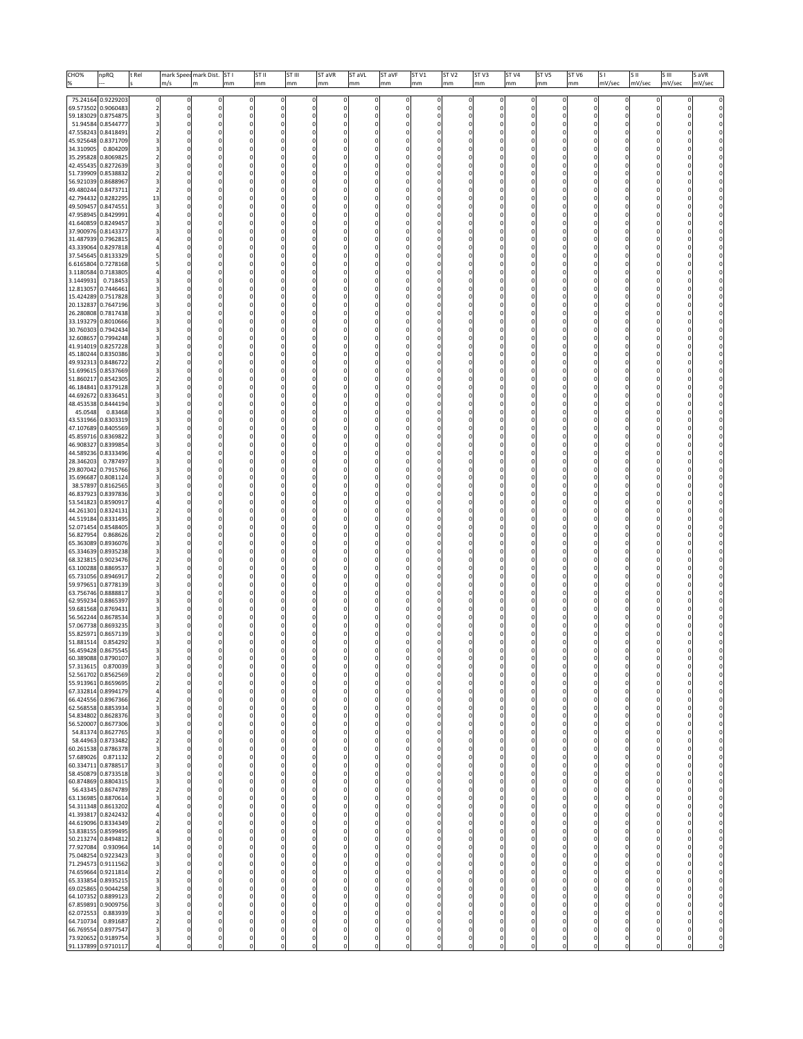| CHO%      | npRQ                                       | t Rel                                                | mark Speedmark Dist. ST I<br>m/s   | $\mathsf{m}$           | mm                       | ST II<br>mm                | ST III<br>mm               | ST aVR<br>mm | ST aVL<br>mm               | ST aVF<br>mm               | ST <sub>V1</sub><br>mm     | ST <sub>V2</sub><br>mm           | STV3<br>mm                 | ST <sub>V4</sub><br>mm     | ST <sub>V5</sub><br>mm     | ST <sub>V6</sub><br>mm           | ls i<br>mV/sec                   | S II<br>mV/sec                   | S III<br>mV/sec                | S aVR<br>mV/sec                                            |
|-----------|--------------------------------------------|------------------------------------------------------|------------------------------------|------------------------|--------------------------|----------------------------|----------------------------|--------------|----------------------------|----------------------------|----------------------------|----------------------------------|----------------------------|----------------------------|----------------------------|----------------------------------|----------------------------------|----------------------------------|--------------------------------|------------------------------------------------------------|
|           | 75.24164 0.9229203<br>69.573502 0.9060483  | 0<br>$\overline{\mathbf{2}}$                         | 0<br>$\Omega$                      | 0<br>0                 | 0                        |                            | $\mathbf 0$                |              | 0                          | 0                          | 0<br>0                     | 0<br> 0                          | 이<br>0                     |                            | $\Omega$<br> 0             | $\Omega$<br>$\circ$              | $\Omega$<br>$\circ$              | $\Omega$<br>$\Omega$             | 0                              |                                                            |
|           | 59.183029 0.8754875<br>51.94584 0.8544777  | $\overline{\mathbf{3}}$<br>3                         | $\circ$<br>$\mathbf 0$             | $\bf 0$<br>0           | $\mathbf 0$              | 0                          | $\mathbf 0$<br>C           |              | 0                          | C                          | 0                          | $\circ$<br><sup>0</sup>          | $\circ$<br>$\overline{0}$  |                            | $\Omega$<br><sup>0</sup>   | $\circ$<br>$\mathbf 0$           | $\Omega$<br>$\Omega$             | $\Omega$                         | 0                              | $\circ$<br>0                                               |
|           | 47.558243 0.8418491<br>45.925648 0.8371709 | 2<br>3                                               | $^{\circ}$                         |                        |                          |                            |                            |              |                            |                            |                            |                                  | 0<br>0                     |                            |                            |                                  | $\mathbf 0$                      |                                  |                                |                                                            |
|           | 34.310905 0.804209<br>35.295828 0.8069825  | 3                                                    |                                    |                        |                          |                            |                            |              |                            |                            |                            |                                  | 0                          |                            |                            |                                  |                                  |                                  |                                |                                                            |
|           | 42.455435 0.8272639                        | $\overline{\mathbf{2}}$<br>$\overline{\mathbf{3}}$   | $^{\circ}$                         |                        |                          |                            |                            |              |                            |                            |                            |                                  |                            |                            |                            |                                  |                                  |                                  |                                |                                                            |
|           | 51.739909 0.8538832<br>56.921039 0.8688967 | $\overline{\mathbf{2}}$<br>$\overline{\mathbf{3}}$   | $\Omega$<br>$\Omega$               |                        |                          |                            |                            |              |                            |                            |                            |                                  |                            |                            |                            |                                  | O<br>$\Omega$                    |                                  |                                |                                                            |
|           | 49.480244 0.8473711<br>42.794432 0.8282295 | $\overline{2}$<br>13                                 | $^{\circ}$<br>$^{\circ}$           |                        |                          |                            |                            |              |                            |                            |                            |                                  | 0<br>0                     |                            |                            |                                  | $\mathbf 0$<br>$\mathbf 0$       |                                  |                                |                                                            |
|           | 49.509457 0.8474551<br>47.958945 0.8429991 | 3<br>$\overline{4}$                                  | $^{\circ}$<br>$^{\circ}$           |                        |                          |                            |                            |              |                            |                            |                            |                                  | $\mathbf 0$<br>0           |                            |                            | 0                                | $\mathbf 0$<br>0                 |                                  |                                |                                                            |
|           | 41.640859 0.8249457<br>37.900976 0.8143377 | 3<br>3                                               | $\Omega$                           |                        |                          |                            |                            |              |                            |                            |                            |                                  | $\Omega$                   |                            |                            |                                  |                                  |                                  |                                |                                                            |
|           | 31.487939 0.7962815<br>43.339064 0.8297818 | 4<br>4                                               |                                    |                        |                          |                            |                            |              |                            |                            |                            |                                  |                            |                            |                            |                                  |                                  |                                  |                                |                                                            |
|           | 37.545645 0.8133329<br>6.6165804 0.7278168 | 5<br>5                                               |                                    |                        |                          |                            |                            |              |                            |                            |                            |                                  |                            |                            |                            |                                  |                                  |                                  |                                |                                                            |
|           | 3.1180584 0.7183805<br>3.1449931 0.718453  | 4<br>3                                               | $\Omega$<br>0                      |                        |                          |                            |                            |              |                            |                            |                            |                                  |                            |                            |                            |                                  |                                  |                                  |                                |                                                            |
|           | 12.813057 0.7446461<br>15.424289 0.7517828 | 3<br>3                                               | 0                                  |                        |                          |                            |                            |              |                            |                            |                            |                                  |                            |                            |                            |                                  | o<br>0                           |                                  |                                |                                                            |
|           | 20.132837 0.7647196<br>26.280808 0.7817438 | $\overline{\mathbf{3}}$<br>3                         | $^{\circ}$                         |                        |                          |                            |                            |              |                            |                            |                            |                                  | $\Omega$                   |                            |                            |                                  |                                  |                                  |                                |                                                            |
|           | 33.193279 0.8010666<br>30.760303 0.7942434 | 3<br>3                                               |                                    |                        |                          |                            |                            |              |                            |                            |                            |                                  |                            |                            |                            |                                  |                                  |                                  |                                |                                                            |
|           | 32.608657 0.7994248<br>41.914019 0.8257228 | 3<br>3                                               |                                    |                        |                          |                            |                            |              |                            |                            |                            |                                  |                            |                            |                            |                                  |                                  |                                  |                                |                                                            |
|           | 45.180244 0.8350386                        | $\overline{\mathbf{3}}$                              | $^{\circ}$                         |                        |                          |                            |                            |              |                            |                            |                            |                                  |                            |                            |                            |                                  |                                  |                                  |                                |                                                            |
|           | 49.932313 0.8486722<br>51.699615 0.8537669 | $\overline{2}$<br>$\overline{\mathbf{3}}$            | $\Omega$<br>$\mathbf 0$            |                        | $\Omega$                 |                            |                            |              |                            |                            |                            |                                  | $\Omega$                   |                            |                            |                                  | O<br>$\Omega$                    |                                  |                                |                                                            |
|           | 51.860217 0.8542305<br>46.184841 0.8379128 | $\overline{2}$<br>$\overline{\mathbf{3}}$            | $\mathbf 0$<br>$^{\circ}$          |                        |                          |                            |                            |              |                            |                            |                            |                                  | 0<br>$\mathbf 0$           |                            |                            |                                  | $\mathbf 0$<br>$\mathbf 0$       |                                  |                                |                                                            |
|           | 44.692672 0.8336451<br>48.453538 0.8444194 | $\overline{\mathbf{3}}$<br>$\overline{\mathbf{3}}$   | $^{\circ}$                         |                        |                          |                            |                            |              |                            |                            |                            |                                  | 0<br>0                     |                            |                            | 0<br>o                           | $\mathbf 0$<br>$\Omega$          |                                  |                                |                                                            |
| 45.0548   | 0.83468<br>43.531966 0.8303319             | 3<br>3                                               |                                    |                        |                          |                            |                            |              |                            |                            |                            |                                  |                            |                            |                            |                                  |                                  |                                  |                                |                                                            |
|           | 47.107689 0.8405569<br>45.859716 0.8369822 | 3<br>3                                               |                                    |                        |                          |                            |                            |              |                            |                            |                            |                                  |                            |                            |                            |                                  |                                  |                                  |                                |                                                            |
|           | 46.908327 0.8399854<br>44.589236 0.8333496 | $\overline{\mathbf{3}}$<br>4                         | $\Omega$<br>$\Omega$               |                        |                          |                            |                            |              |                            |                            |                            |                                  |                            |                            |                            |                                  |                                  |                                  |                                |                                                            |
|           | 28.346203 0.787497<br>29.807042 0.7915766  | 3<br>3                                               | 0<br>$^{\circ}$                    |                        |                          |                            |                            |              |                            |                            |                            |                                  |                            |                            |                            |                                  |                                  |                                  |                                |                                                            |
|           | 35.696687 0.8081124<br>38.57897 0.8162565  | 3<br>3                                               |                                    |                        |                          |                            |                            |              |                            |                            |                            |                                  |                            |                            |                            |                                  | 0                                |                                  |                                |                                                            |
|           | 46.837923 0.8397836<br>53.541823 0.8590917 | 3                                                    |                                    |                        |                          |                            |                            |              |                            |                            |                            |                                  |                            |                            |                            |                                  |                                  |                                  |                                |                                                            |
|           | 44.261301 0.8324131                        | 2<br>3                                               |                                    |                        |                          |                            |                            |              |                            |                            |                            |                                  |                            |                            |                            |                                  |                                  |                                  |                                |                                                            |
|           | 44.519184 0.8331495<br>52.071454 0.8548405 | 3                                                    |                                    |                        |                          |                            |                            |              |                            |                            |                            |                                  |                            |                            |                            |                                  |                                  |                                  |                                |                                                            |
|           | 56.827954 0.868626<br>65.363089 0.8936076  | $\overline{2}$<br>$\overline{\mathbf{3}}$            | $^{\circ}$<br>$^{\circ}$           |                        |                          |                            |                            |              |                            |                            |                            |                                  |                            |                            |                            |                                  |                                  |                                  |                                |                                                            |
|           | 65.334639 0.8935238<br>68.323815 0.9023476 | $\overline{\mathbf{3}}$<br>$\overline{2}$            | $\mathbf 0$<br>$\Omega$            |                        | 0                        |                            |                            |              |                            |                            |                            |                                  | $\Omega$<br>$\mathbf 0$    |                            |                            |                                  | $\Omega$<br>$\mathbf 0$          |                                  |                                |                                                            |
|           | 63.100288 0.8869537<br>65.731056 0.8946917 | $\overline{\mathbf{3}}$<br>$\overline{2}$            | $\mathbf 0$                        |                        |                          |                            |                            |              |                            |                            |                            |                                  | 0                          |                            |                            |                                  | $\mathbf 0$<br>$\mathbf 0$       |                                  |                                |                                                            |
|           | 59.979651 0.8778139<br>63.756746 0.8888817 | $\overline{\mathbf{3}}$<br>3                         | $^{\circ}$                         |                        |                          |                            |                            |              |                            |                            |                            |                                  | $\Omega$                   |                            |                            |                                  | $\Omega$                         |                                  |                                |                                                            |
|           | 62.959234 0.8865397<br>59.681568 0.8769431 | 3<br>3                                               |                                    |                        |                          |                            |                            |              |                            |                            |                            |                                  |                            |                            |                            |                                  |                                  |                                  |                                |                                                            |
|           | 56.562244 0.8678534<br>57.067738 0.8693235 | 3<br>3                                               |                                    |                        |                          |                            |                            |              |                            |                            |                            |                                  |                            |                            |                            |                                  |                                  |                                  |                                |                                                            |
|           | 55.825971 0.8657139<br>51.881514 0.854292  | 3<br>3                                               |                                    |                        |                          |                            |                            |              |                            |                            |                            |                                  |                            |                            |                            |                                  |                                  |                                  |                                |                                                            |
|           | 56.459428 0.8675545<br>60.389088 0.8790107 | $\overline{\mathbf{3}}$                              |                                    |                        |                          |                            |                            |              |                            |                            | C                          |                                  |                            |                            | O                          |                                  |                                  |                                  |                                | 0                                                          |
|           | 57.313615 0.870039<br>52.561702 0.8562569  | $\overline{\mathbf{3}}$<br>$\overline{2}$            | $\overline{0}$<br>$\circ$          | $\pmb{0}$<br>$\bf 0$   | $\pmb{0}$<br>$\pmb{0}$   | $\mathbf 0$<br>$\pmb{0}$   | $\mathbf 0$<br>$\mathbf 0$ |              | $\mathbf 0$<br>$\mathbf 0$ | $\mathbf 0$<br>$\circ$     | $\mathbf 0$<br>$\mathbf 0$ | $\overline{0}$<br> 0             | $\pmb{0}$<br>$\circ$       | $\Omega$<br>$\circ$        | 0 <br> 0                   | $\circ$<br><sub>0</sub>          | $\mathbf 0$<br>$\Omega$          | 0 <br>$\mathbf{0}$               | $\overline{0}$<br>$\mathbf{0}$ | 0 <br>0<br>$\circ$<br><sub>0</sub>                         |
|           | 55.913961 0.8659695<br>67.332814 0.8994179 | $\overline{2}$                                       | $\mathbf{0}$<br>$\boldsymbol{0}$   | $\bf 0$<br>$\pmb{0}$   | $\pmb{0}$<br>$\mathbf 0$ | $\pmb{0}$<br>$\pmb{0}$     | $\mathbf 0$<br>$\,0\,$     |              | $\mathbf 0$<br>$\mathbf 0$ | $\mathbf 0$<br>$\mathbf 0$ | $\theta$<br>$\mathbf 0$    | $\circ$<br>$\overline{0}$        | $\circ$<br>$\mathbf 0$     | $\mathbf 0$<br>$\mathbf 0$ | 0 <br> 0                   | <sub>0</sub><br>$\mathfrak{o}$   | $\Omega$<br>$\mathbf 0$          | $\Omega$<br> 0                   | $\mathbf{0}$<br>$\pmb{0}$      | 0 <br>$\mathbf 0$<br>$\mathbf 0$<br>$\mathfrak{0}$         |
|           | 66.424556 0.8967366<br>62.568558 0.8853934 | $\begin{array}{c} 4 \\ 2 \\ 3 \end{array}$           | $\overline{0}$<br>$\overline{0}$   | $\pmb{0}$<br>0         | $\mathbf 0$<br>$\pmb{0}$ | 0<br>0                     | $\mathbf 0$<br>$\mathbf 0$ |              | 0<br>0                     | 0<br>0                     | 0<br>$\mathbf 0$           | $\overline{0}$<br>$\overline{0}$ | 0 <br> 0                   | 0<br>0                     | 0 <br> 0                   | $\mathfrak{o}$<br>$\pmb{0}$      | $\overline{0}$<br>$\overline{0}$ | 0 <br> 0                         | 0<br>0                         | 0 <br>0<br> 0 <br>0                                        |
|           | 54.834802 0.8628376<br>56.520007 0.8677306 | $\overline{\mathbf{3}}$                              | $\circ$<br>$\circ$                 | $\pmb{0}$<br>$\bf 0$   | $\pmb{0}$<br>$\mathbf 0$ | 0<br>$\mathbf 0$           | $\mathbf 0$<br>$\mathbf 0$ |              | 0<br>$\mathbf 0$           | O<br>0                     | $\pmb{0}$<br>$\mathbf 0$   | $\mathbf 0$<br>$\overline{0}$    | $\mathbf 0$<br>$\mathbf 0$ | $\Omega$                   | 0 <br> 0                   | $\pmb{0}$<br>$\mathbf 0$         | $\theta$<br>$\mathbf 0$          | $\overline{0}$<br>$\circ$        | 0<br>$\circ$                   | 0<br> 0 <br><sub>0</sub><br>$\mathbf 0$                    |
|           | 54.81374 0.8627765                         | $\begin{array}{c} 3 \\ 3 \\ 2 \end{array}$           | $\circ$<br>$\circ$                 | $\bf 0$<br>$\pmb{0}$   | $\mathbf 0$              | $\mathbf 0$<br>$\mathbf 0$ | $\mathbf 0$<br>$\mathbf 0$ |              | $\mathbf 0$<br>$\Omega$    | 0<br>$\Omega$              | $\mathbf 0$                | $\Omega$<br>$\Omega$             | $\mathbf 0$                |                            | 0                          | $\mathbf 0$<br><sub>0</sub>      | $\mathbf 0$<br>$\Omega$          | $\Omega$                         | $\mathbf 0$<br>$\mathbf 0$     | <sub>0</sub><br>$\mathbf 0$<br><sup>o</sup><br>$\mathbf 0$ |
|           | 58.44963 0.8733482<br>60.261538 0.8786378  | $\ensuremath{\mathsf{3}}$                            | $\circ$                            | $\pmb{0}$              | $\pmb{0}$<br>$\pmb{0}$   | $\pmb{0}$                  | $\mathbf 0$                |              | 0                          | 0                          | $\mathbf 0$<br>$\bf{0}$    | $\overline{0}$                   | $\mathbf 0$<br>$\mathbf 0$ | $\Omega$                   | 0 <br>$\Omega$             | $\circ$                          | $\mathbf 0$                      | $\Omega$<br>$\Omega$             | $\mathbf 0$                    | 0<br> 0                                                    |
|           | 57.689026 0.871132<br>60.334711 0.8788517  | $\overline{2}$<br>$\ensuremath{\mathsf{3}}$          | $\overline{0}$<br>$\overline{0}$   | $\pmb{0}$<br>$\pmb{0}$ | $\pmb{0}$<br>$\pmb{0}$   | $\mathbf 0$<br>$\mathbf 0$ | $\mathbf 0$<br>$\mathbf 0$ |              | $\mathbf 0$<br>$\mathbf 0$ | 0<br>0                     | $\mathbf 0$<br>$\mathbf 0$ | $\mathbf 0$<br>$\mathbf 0$       | $\mathbf 0$<br>0           | 0                          | 0 <br> 0                   | $\circ$<br>$\circ$               | $\mathbf 0$<br>$\mathbf 0$       | $\overline{0}$<br>$\overline{0}$ | 0<br>0                         | 0<br> 0 <br>0<br> 0                                        |
|           | 58.450879 0.8733518<br>60.874869 0.8804315 | $\overline{\mathbf{3}}$<br>$\ensuremath{\mathsf{3}}$ | $\overline{0}$<br>$\circ$          | $\bf 0$<br>$\pmb{0}$   | $\pmb{0}$<br>$\pmb{0}$   | $\pmb{0}$<br>$\pmb{0}$     | $\mathbf 0$<br>$\mathbf 0$ |              | $\mathbf 0$<br>$\mathbf 0$ | $\mathbf 0$<br>$\mathbf 0$ | $\theta$<br>$\mathbf 0$    | $\overline{0}$<br>$\overline{0}$ | $\mathbf 0$<br>$\mathbf 0$ | 0<br>0                     | 0 <br> 0                   | <sub>0</sub><br>$\mathfrak{o}$   | $\mathbf 0$<br>$\Omega$          | $\Omega$<br>$\Omega$             | $\mathbf 0$<br>0               | 0 <br>$\mathbf 0$<br> 0 <br>$\mathbf 0$                    |
|           | 56.43345 0.8674789<br>63.136985 0.8870614  | $\overline{2}$<br>$\overline{\mathbf{3}}$            | $\circ$<br>$\circ$                 | $\pmb{0}$<br>$\pmb{0}$ | $\pmb{0}$<br>$\pmb{0}$   | $\pmb{0}$<br>0             | $\mathbf 0$<br>$\mathbf 0$ |              | $\mathbf 0$<br>0           | $\mathbf 0$<br>0           | $\bf{0}$<br>$\bf{0}$       | $\Omega$<br>$\mathbf 0$          | 0<br>$\mathbf 0$           | 0                          | 0 <br> 0                   | $\pmb{0}$<br>$\pmb{0}$           | $\Omega$<br>$\mathbf 0$          | $\Omega$<br>0                    | 0<br>0                         | 0 <br>$\mathbf 0$<br> 0 <br>0                              |
|           | 54.311348 0.8613202<br>41.393817 0.8242432 | $\overline{a}$<br>$\overline{4}$                     | $\overline{0}$<br>$\circ$          | $\pmb{0}$<br>$\bf 0$   | $\pmb{0}$<br>$\bf{0}$    | 0<br>$\mathbf 0$           | $\mathbf 0$<br>$\mathbf 0$ |              | 0<br>$\mathbf 0$           | O<br>O                     | $\circ$<br>$\mathbf 0$     | $\mathbf 0$<br>$\mathbf 0$       | $\mathbf 0$<br>$\mathbf 0$ |                            | $\mathbf 0$<br>$\Omega$    | 0<br>$\mathbf 0$                 | 0<br>$\mathbf 0$                 | 0<br>$\Omega$                    | 0<br>$\mathbf 0$               | 0<br> 0 <br>$\mathbf 0$<br>$\circ$                         |
|           | 44.619096 0.8334349<br>53.838155 0.8599495 | $\overline{2}$<br>$\sqrt{4}$                         | $\circ$<br>$\circ$                 | $\bf 0$<br>$\bf 0$     | $\bf{0}$<br>$\pmb{0}$    | $\mathbf 0$<br>$\mathbf 0$ | $\mathbf 0$<br>$\mathbf 0$ |              | $\mathbf 0$<br>$\Omega$    | O<br>$\Omega$              | $\mathbf 0$<br>$\mathbf 0$ | $\Omega$<br>$\Omega$             | $\mathbf 0$<br>$\mathbf 0$ |                            | $\Omega$<br>$\Omega$       | $\mathbf 0$<br>$\mathbf 0$       | $\mathbf 0$<br>$\Omega$          | $\circ$<br>$\Omega$              | $\mathbf 0$<br>$\mathbf 0$     | <sup>o</sup><br>$\mathbf 0$<br><sup>o</sup><br>$\mathbf 0$ |
|           | 50.213274 0.8494812<br>77.927084 0.930964  | $\overline{\mathbf{3}}$<br>14                        | $\overline{0}$<br>$\overline{0}$   | $\pmb{0}$<br>$\pmb{0}$ | $\pmb{0}$<br>$\pmb{0}$   | $\pmb{0}$<br>$\pmb{0}$     | $\mathbf 0$<br>$\mathbf 0$ |              | $\Omega$<br>0              | O<br>0                     | $\circ$<br>$\circ$         | $\overline{0}$<br>$\overline{0}$ | $\mathbf 0$<br>$\mathbf 0$ |                            | $\mathbf 0$<br>$\Omega$    | $\pmb{0}$<br>$\pmb{0}$           | $\mathbf 0$<br>$\mathbf 0$       | $\Omega$<br>$\Omega$             | 0<br>0                         | 0 <br>0<br> 0 <br>0                                        |
|           | 75.048254 0.9223423<br>71.294573 0.9111562 | $\overline{\mathbf{3}}$<br>$\overline{\mathbf{3}}$   | $\overline{0}$<br>$\overline{0}$   | $\pmb{0}$<br>$\pmb{0}$ | $\pmb{0}$<br>$\pmb{0}$   | $\mathbf 0$<br>$\pmb{0}$   | $\mathbf 0$<br>$\mathbf 0$ |              | 0<br>$\mathbf 0$           | 0<br>0                     | $\circ$<br>$\theta$        | $\overline{0}$<br>$\overline{0}$ | $\mathbf 0$<br>$\mathbf 0$ | 0                          | 0 <br> 0                   | $\pmb{0}$<br>$\mathfrak{o}$      | $\mathbf 0$<br>$\mathbf 0$       | $\mathbf 0$<br>$\Omega$          | 0<br>$\mathbf 0$               | 0<br> 0 <br> 0 <br>$\mathbf 0$                             |
|           | 74.659664 0.9211814<br>65.333854 0.8935215 | $\overline{2}$<br>$\overline{\mathbf{3}}$            | $\overline{0}$<br>$\boldsymbol{0}$ | $\pmb{0}$<br>$\pmb{0}$ | $\pmb{0}$<br>$\pmb{0}$   | $\pmb{0}$<br>$\pmb{0}$     | $\mathbf 0$<br>$\mathbf 0$ |              | 0<br>0                     | 0<br>$\mathbf 0$           | $\mathbf 0$<br>0           | $\overline{0}$<br>$\overline{0}$ | $\mathbf 0$<br>$^{\circ}$  | 0<br>0                     | 0 <br>$\Omega$             | $\mathfrak{o}$<br>$\mathfrak{o}$ | $\mathbf 0$<br>$\Omega$          | $\Omega$<br>$\Omega$             | $\mathbf 0$<br>0               | 0 <br>$\mathbf 0$<br> 0 <br>$\mathbf 0$                    |
|           | 69.025865 0.9044258<br>64.107352 0.8899123 | $\overline{\mathbf{3}}$                              | $\overline{0}$                     | $\pmb{0}$              | $\pmb{0}$                | 0                          | $\mathbf 0$<br>$\mathbf 0$ |              | 0<br>0                     | O                          | 0<br>0                     | $\overline{0}$<br>$\mathbf 0$    | $\mathbf 0$<br>$\mathbf 0$ |                            | $\mathbf 0$<br>$\mathbf 0$ | $\pmb{0}$                        | $\mathbf 0$<br>0                 | 0<br>0                           | 0                              | 0 <br>0                                                    |
|           | 67.859891 0.9009756                        | $\overline{2}$<br>$\overline{\mathbf{3}}$            | $\overline{0}$<br>$\overline{0}$   | $\pmb{0}$<br>$\pmb{0}$ | $\pmb{0}$<br>$\pmb{0}$   | 0<br>0                     | $\mathbf 0$                |              | 0                          |                            | 0                          | $\mathbf 0$                      | $\mathbf 0$                |                            | $\mathbf 0$                | $\pmb{0}$<br>$\mathbf 0$         | 0                                | 0                                | 0<br>$\mathbf 0$               | 0 <br>0<br> 0 <br>0                                        |
| 64.710734 | 62.072553 0.883939<br>0.891687             | $\overline{\mathbf{3}}$<br>$\overline{2}$            | $\circ$<br>$\circ$                 | $\bf 0$<br>$\bf 0$     | $\bf{0}$<br>$\pmb{0}$    | $\mathbf 0$<br>$\mathbf 0$ | $\mathbf 0$<br>$\mathbf 0$ |              | 0<br>$\Omega$              | O<br>O                     | $\epsilon$<br>$\Omega$     | $\Omega$<br>$\Omega$             | $\mathbf 0$<br>$\Omega$    |                            | $\mathbf 0$<br>$\Omega$    | $\mathbf 0$<br>$\mathbf 0$       | $\mathbf 0$<br>$\Omega$          | $\Omega$<br><sup>0</sup>         | $\mathbf 0$<br>$\Omega$        | <sup>o</sup><br>$\mathbf 0$<br> 0 <br>$\mathbf 0$          |
|           | 66.769554 0.8977547<br>73.920652 0.9189754 | $\ensuremath{\mathsf{3}}$<br>$\overline{\mathbf{3}}$ | $\circ$<br>$\overline{0}$          | $\bf 0$<br>$\pmb{0}$   | 0<br>$\mathbf 0$         | $\mathbf 0$<br>$\mathbf 0$ | $\mathbf 0$<br>$\mathbf 0$ |              | $\Omega$<br>0              | $\Omega$<br>0              | 0<br>$\mathbf 0$           | $\Omega$<br>$\overline{0}$       | $\Omega$<br>$\mathbf 0$    |                            | $\mathbf 0$<br>$\Omega$    | $\mathbf 0$<br>$\pmb{0}$         | $\mathbf 0$<br>$\overline{0}$    | 0<br>0                           | $\mathbf 0$<br>$\mathbf 0$     | 0 <br>0<br> 0 <br>0                                        |
|           | 91.137899 0.9710117                        | $\overline{4}$                                       | $\circ$                            | $\mathbf 0$            | $\bf{0}$                 | $\mathbf 0$                |                            | $\mathbf 0$  | 0                          |                            | $\mathbf 0$                | 0                                | $\mathbf 0$                |                            |                            | 0                                | $\overline{0}$                   | 0                                | 0                              | 0<br>$\overline{0}$                                        |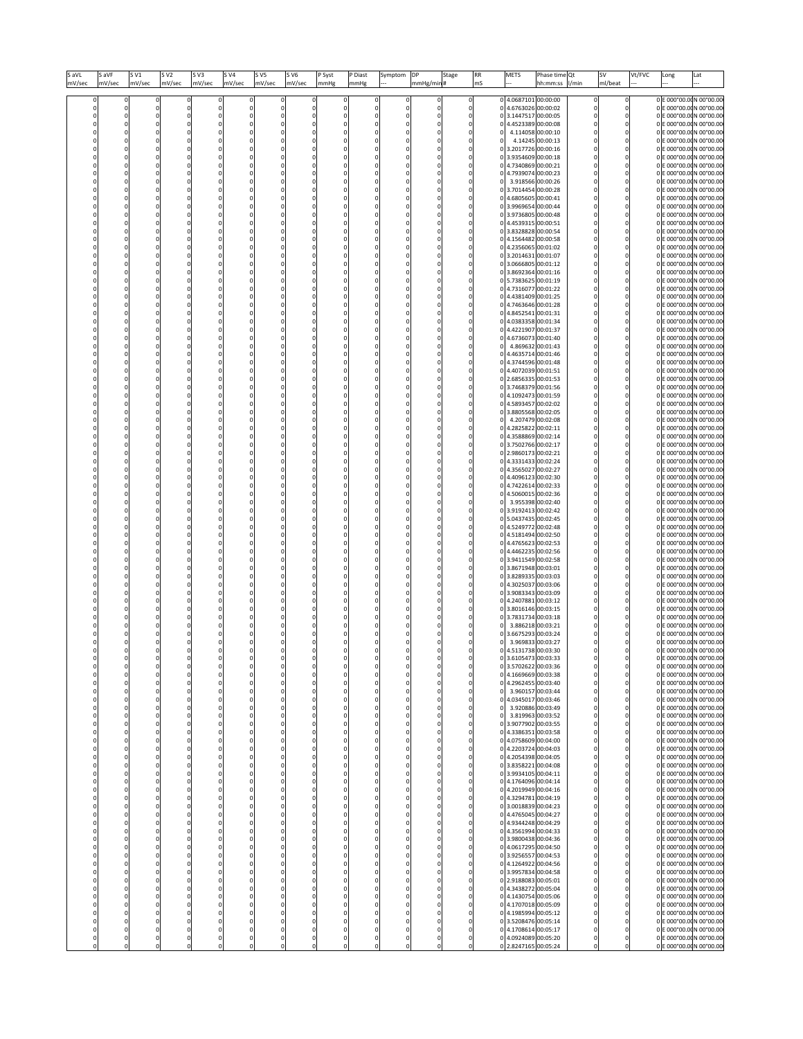| S aVL<br>mV/sec | S aVF<br>mV/sec | SVI<br>mV/sec           | $s_{V2}$<br>mV/sec               | S <sub>V3</sub><br>mV/sec  | S <sub>V4</sub><br>mV/sec | S <sub>VS</sub><br>mV/sec        | S V6<br>mV/sec                   | P Syst<br>mmHg             | P Diast<br>mmHg             |          | Symptom                 | DP<br>Stage<br>mmHg/min#    | RR<br>mS                   | <b>METS</b>                                     | Phase time Qt<br>hh:mm:ss  l/min      | <b>SV</b><br>ml/beat                                                       | Vt/FVC | Long | Lat                                                  |
|-----------------|-----------------|-------------------------|----------------------------------|----------------------------|---------------------------|----------------------------------|----------------------------------|----------------------------|-----------------------------|----------|-------------------------|-----------------------------|----------------------------|-------------------------------------------------|---------------------------------------|----------------------------------------------------------------------------|--------|------|------------------------------------------------------|
|                 |                 |                         |                                  |                            |                           |                                  |                                  |                            |                             |          |                         |                             |                            | 0 4.0687101 00:00:00                            |                                       |                                                                            |        |      | 0 E 000°00.00N 00°00.00                              |
|                 |                 | o<br>o                  | $\overline{0}$<br>$\overline{0}$ | 0 <br>$\mathbf 0$          | $\theta$<br>$\Omega$      | $\bf{0}$<br>$\overline{0}$       | $\mathbf 0$                      |                            | $\Omega$<br>$\Omega$        |          |                         | $\circ$<br>$\Omega$         | o<br>$\Omega$              | 04.676302600:00:02<br>03.1447517 00:00:05       |                                       | $\circ$<br>$\mathbf 0$<br>$\circ$<br>$\mathbf 0$                           |        |      | 0 E 000°00.00 N 00°00.00<br>0 E 000°00.00 N 00°00.00 |
|                 |                 | O                       | 0                                | 0                          |                           | $\Omega$                         |                                  |                            |                             |          |                         | $\Omega$                    | $\Omega$                   | 04.452338900:00:08                              |                                       | $\circ$<br>$\overline{0}$                                                  |        |      | 0 E 000°00.00 N 00°00.00                             |
|                 |                 |                         | 0                                | 0                          |                           |                                  |                                  |                            |                             |          |                         | $\Omega$                    | $^{\circ}$<br>$\mathbf 0$  | 0                                               | 4.114058 00:00:10<br>4.14245 00:00:13 | 0 <br>0<br>0<br>$\mathbf 0$                                                |        |      | 0 E 000°00.00 N 00°00.00<br>0 E 000°00.00 N 00°00.00 |
|                 |                 |                         |                                  |                            |                           |                                  |                                  |                            |                             |          |                         |                             | $^{\circ}$                 | 03.2017726 00:00:16                             |                                       | $\mathbf 0$                                                                |        |      | 0 E 000°00.00 N 00°00.00                             |
|                 |                 |                         |                                  |                            |                           |                                  |                                  |                            |                             |          |                         |                             | $\Omega$                   | 03.9354609 00:00:18                             |                                       |                                                                            |        |      | 0 E 000°00.00 N 00°00.00                             |
|                 |                 |                         |                                  |                            |                           |                                  |                                  |                            |                             |          |                         |                             | $\Omega$                   | 0 4.7340869 00:00:21<br>04.793907400:00:23      |                                       |                                                                            |        |      | 0 E 000°00.00 N 00°00.00<br>0 E 000°00.00 N 00°00.00 |
|                 |                 |                         |                                  |                            |                           |                                  |                                  |                            |                             |          |                         |                             |                            | 0 3.918566 00:00:26                             |                                       |                                                                            |        |      | 0 E 000°00.00 N 00°00.00                             |
|                 |                 |                         |                                  |                            |                           |                                  |                                  |                            |                             |          |                         |                             |                            | 03.7014454 00:00:28<br>0 4.6805605 00:00:41     |                                       | $\mathbf 0$                                                                |        |      | 0 E 000°00.00 N 00°00.00<br>0 E 000°00.00 N 00°00.00 |
|                 |                 |                         |                                  |                            |                           |                                  |                                  |                            |                             |          |                         |                             |                            | 03.9969654 00:00:44                             |                                       | $\Omega$                                                                   |        |      | 0 E 000°00.00 N 00°00.00                             |
|                 |                 |                         |                                  |                            |                           |                                  |                                  |                            |                             |          |                         |                             | $\Omega$<br>$^{\circ}$     | 03.9736805 00:00:48<br>0 4.4539315 00:00:51     |                                       | $\Omega$<br>$\mathbf 0$                                                    |        |      | 0 E 000°00.00 N 00°00.00<br>0 E 000°00.00 N 00°00.00 |
|                 |                 |                         |                                  |                            |                           |                                  |                                  |                            |                             |          |                         |                             | $\mathbf 0$                | 03.8328828 00:00:54                             |                                       | $\mathbf 0$                                                                |        |      | 0 E 000°00.00 N 00°00.00                             |
|                 |                 |                         |                                  |                            |                           |                                  |                                  |                            |                             |          |                         | Ωl                          | $^{\circ}$<br>$\Omega$     | 0 4.1564482 00:00:58<br>0 4.2356065 00:01:02    |                                       | $\mathbf 0$<br>$\mathbf 0$                                                 |        |      | 0 E 000°00.00 N 00°00.00<br>0 E 000°00.00 N 00°00.00 |
|                 |                 |                         |                                  |                            |                           |                                  |                                  |                            |                             |          |                         |                             | $\Omega$                   | 03.2014631 00:01:07                             |                                       | $\mathbf 0$                                                                |        |      | 0 E 000°00.00 N 00°00.00                             |
|                 |                 |                         |                                  |                            |                           |                                  |                                  |                            |                             |          |                         |                             |                            | 03.0666805 00:01:12<br>03.8692364 00:01:16      |                                       | $\mathbf 0$<br>0                                                           |        |      | 0 E 000°00.00 N 00°00.00<br>0 E 000°00.00 N 00°00.00 |
|                 |                 |                         |                                  |                            |                           |                                  |                                  |                            |                             |          |                         |                             |                            | 05.738362500:01:19                              |                                       | 0                                                                          |        |      | 0 E 000°00.00 N 00°00.00                             |
|                 |                 |                         |                                  |                            |                           |                                  |                                  |                            |                             |          |                         |                             |                            | 04.7316077 00:01:22<br>04.4381409 00:01:25      |                                       | $\mathbf 0$<br>$\mathbf 0$                                                 |        |      | 0 E 000°00.00 N 00°00.00<br>0 E 000°00.00 N 00°00.00 |
|                 |                 |                         |                                  |                            |                           |                                  |                                  |                            |                             |          |                         |                             | $\Omega$                   | 0 4.7463646 00:01:28                            |                                       | $\Omega$<br>$\mathbf 0$                                                    |        |      | 0 E 000°00.00 N 00°00.00                             |
|                 |                 |                         |                                  |                            |                           |                                  |                                  |                            |                             |          |                         |                             | $^{\circ}$                 | 0 4.8452541 00:01:31                            |                                       | 0<br>$\mathbf 0$                                                           |        |      | 0 E 000°00.00 N 00°00.00                             |
|                 |                 |                         |                                  |                            |                           |                                  |                                  |                            |                             |          |                         |                             | $^{\circ}$<br>$^{\circ}$   | 0 4.0383358 00:01:34<br>04.422190700:01:37      |                                       | $\mathbf 0$<br>$\mathbf 0$                                                 |        |      | 0 E 000°00.00 N 00°00.00<br>0 E 000°00.00 N 00°00.00 |
|                 |                 |                         |                                  |                            |                           |                                  |                                  |                            |                             |          |                         |                             | $\Omega$                   | 04.673607300:01:40                              |                                       |                                                                            |        |      | 0 E 000°00.00 N 00°00.00                             |
|                 |                 |                         |                                  |                            |                           |                                  |                                  |                            |                             |          |                         |                             | $\Omega$<br>$\Omega$       | 0 4.869632 00:01:43<br>0 4.4635714 00:01:46     |                                       | $\Omega$                                                                   |        |      | 0 E 000°00.00 N 00°00.00<br>0 E 000°00.00 N 00°00.00 |
|                 |                 |                         |                                  |                            |                           |                                  |                                  |                            |                             |          |                         |                             |                            | 0 4.3744596 00:01:48                            |                                       | 0                                                                          |        |      | 0 E 000°00.00 N 00°00.00                             |
|                 |                 |                         |                                  |                            |                           |                                  |                                  |                            |                             |          |                         |                             |                            | 0 4.4072039 00:01:51<br>0 2.6856335 00:01:53    |                                       |                                                                            |        |      | 0 E 000°00.00 N 00°00.00<br>0 E 000°00.00 N 00°00.00 |
|                 |                 |                         |                                  |                            |                           |                                  |                                  |                            |                             |          |                         |                             |                            | 03.746837900:01:56                              |                                       | $\Omega$                                                                   |        |      | 0 E 000°00.00 N 00°00.00                             |
|                 |                 |                         | $\Omega$                         |                            |                           |                                  |                                  |                            |                             |          |                         |                             | $\Omega$<br>$\Omega$       | 0 4.1092473 00:01:59<br>0 4.5893457 00:02:02    |                                       | $\Omega$<br>$\Omega$                                                       |        |      | 0 E 000°00.00 N 00°00.00<br>0 E 000°00.00 N 00°00.00 |
|                 |                 |                         | 0                                |                            |                           |                                  |                                  |                            |                             |          |                         |                             | $^{\circ}$                 | 03.880556800:02:05                              |                                       | $\mathbf 0$                                                                |        |      | 0 E 000°00.00 N 00°00.00                             |
|                 |                 |                         |                                  |                            |                           |                                  |                                  |                            |                             |          |                         |                             | $\mathbf 0$<br>$^{\circ}$  | 0 4.207479 00:02:08<br>04.2825822 00:02:11      |                                       | $\mathbf 0$<br>$\mathbf 0$                                                 |        |      | 0 E 000°00.00 N 00°00.00<br>0 E 000°00.00 N 00°00.00 |
|                 |                 |                         |                                  |                            |                           |                                  |                                  |                            |                             |          |                         |                             | $\Omega$                   | 0 4.3588869 00:02:14                            |                                       | $\mathbf 0$                                                                |        |      | 0 E 000°00.00 N 00°00.00                             |
|                 |                 |                         |                                  |                            |                           |                                  |                                  |                            |                             |          |                         |                             |                            | 03.7502766 00:02:17<br>0 2.9860173 00:02:21     |                                       | $\mathbf 0$<br>0                                                           |        |      | 0 E 000°00.00 N 00°00.00<br>0 E 000°00.00 N 00°00.00 |
|                 |                 |                         |                                  |                            |                           |                                  |                                  |                            |                             |          |                         |                             |                            | 0 4.3331433 00:02:24                            |                                       | 0                                                                          |        |      | 0 E 000°00.00 N 00°00.00                             |
|                 |                 |                         |                                  |                            |                           |                                  |                                  |                            |                             |          |                         |                             |                            | 04.3565027 00:02:27<br>0 4.4096123 00:02:30     |                                       | $\mathbf 0$<br>$\mathbf 0$<br>$\mathbf 0$                                  |        |      | 0 E 000°00.00 N 00°00.00<br>0 E 000°00.00 N 00°00.00 |
|                 |                 |                         |                                  |                            |                           |                                  |                                  |                            |                             |          |                         |                             |                            | 04.7422614 00:02:33                             |                                       | $\mathbf 0$                                                                |        |      | 0 E 000°00.00 N 00°00.00                             |
|                 |                 |                         |                                  |                            |                           |                                  |                                  |                            |                             |          |                         |                             | o<br>$^{\circ}$            | 0 4.5060015 00:02:36<br>3.955398 00:02:40<br>٥I |                                       | $\mathbf 0$<br>$\Omega$<br>0<br>$\mathbf 0$                                |        |      | 0 E 000°00.00 N 00°00.00<br>0 E 000°00.00 N 00°00.00 |
|                 |                 |                         |                                  |                            |                           |                                  |                                  |                            |                             |          |                         |                             | $^{\circ}$                 | 03.9192413 00:02:42                             |                                       | 0<br>$\mathbf 0$                                                           |        |      | 0 E 000°00.00 N 00°00.00                             |
|                 |                 |                         |                                  |                            |                           |                                  |                                  |                            |                             |          |                         |                             | $^{\circ}$<br>$\Omega$     | 05.0437435 00:02:45<br>0 4.5249772 00:02:48     |                                       | $\mathbf 0$                                                                |        |      | 0 E 000°00.00 N 00°00.00<br>0 E 000°00.00 N 00°00.00 |
|                 |                 |                         |                                  |                            |                           |                                  |                                  |                            |                             |          |                         |                             | $\Omega$                   | 0 4.5181494 00:02:50                            |                                       |                                                                            |        |      | 0 E 000°00.00 N 00°00.00                             |
|                 |                 |                         |                                  |                            |                           |                                  |                                  |                            |                             |          |                         |                             |                            | 0 4.4765623 00:02:53<br>0 4.4462235 00:02:56    |                                       |                                                                            |        |      | 0 E 000°00.00 N 00°00.00<br>0 E 000°00.00 N 00°00.00 |
|                 |                 |                         |                                  |                            |                           |                                  |                                  |                            |                             |          |                         |                             |                            | 03.941154900:02:58                              |                                       |                                                                            |        |      | 0 E 000°00.00 N 00°00.00                             |
|                 |                 |                         |                                  |                            |                           |                                  |                                  |                            |                             |          |                         |                             |                            | 03.8671948 00:03:01<br>03.8289335 00:03:03      |                                       | $\Omega$                                                                   |        |      | 0 E 000°00.00 N 00°00.00<br>0 E 000°00.00 N 00°00.00 |
|                 |                 |                         |                                  |                            |                           |                                  |                                  |                            |                             |          |                         |                             | $\Omega$                   | 0 4.3025037 00:03:06                            |                                       | $\Omega$                                                                   |        |      | 0 E 000°00.00 N 00°00.00                             |
|                 |                 |                         |                                  |                            |                           |                                  |                                  |                            |                             |          |                         |                             | $^{\circ}$<br>$^{\circ}$   | 03.9083343 00:03:09<br>0 4.2407881 00:03:12     |                                       | $\mathbf 0$<br>$\mathbf 0$                                                 |        |      | 0 E 000°00.00 N 00°00.00<br>0 E 000°00.00 N 00°00.00 |
|                 |                 |                         |                                  |                            |                           |                                  |                                  |                            |                             |          |                         |                             | $^{\circ}$                 | 03.8016146 00:03:15                             |                                       | $\mathbf 0$                                                                |        |      | 0 E 000°00.00 N 00°00.00                             |
|                 |                 |                         |                                  |                            |                           |                                  |                                  |                            |                             |          |                         |                             | $\Omega$                   | 03.7831734 00:03:18                             | 3.886218 00:03:21                     |                                                                            |        |      | 0 E 000°00.00 N 00°00.00<br>0 E 000°00.00 N 00°00.00 |
|                 |                 |                         |                                  |                            |                           |                                  |                                  |                            |                             |          |                         |                             |                            | 03.667529300:03:24                              |                                       |                                                                            |        |      | 0 E 000°00.00 N 00°00.00                             |
|                 |                 |                         |                                  |                            |                           |                                  |                                  |                            |                             |          |                         |                             |                            | ٥I<br>0 4.5131738 00:03:30                      | 3.969833 00:03:27                     |                                                                            |        |      | 0 E 000°00.00 N 00°00.00<br>0 E 000°00.00 N 00°00.00 |
|                 |                 |                         |                                  |                            |                           |                                  |                                  |                            |                             |          |                         |                             |                            | 3.6105473 00:03:33                              |                                       |                                                                            |        |      | E 000°00.0¢N 00°00.00                                |
|                 | O               | $\mathbf 0$<br>$\Omega$ | $\overline{0}$<br>$\overline{0}$ | $\mathbf 0$<br> 0          | $\theta$<br>$\mathbf 0$   | $\mathbf 0$<br>$\mathbf 0$       | $\theta$<br>$\mathbf 0$          | $\mathbf 0$<br>$\Omega$    | $\mathbf 0$<br><sup>o</sup> | $\Omega$ | $\theta$<br>$\Omega$    | 0 <br> 0                    | $\Omega$<br>$\Omega$       | 03.5702622 00:03:36<br>04.166966900:03:38       |                                       | $\circ$<br>$\overline{0}$<br>$\circ$<br>$\overline{0}$                     |        |      | 0 E 000°00.00 N 00°00.00<br>0 E 000°00.00 N 00°00.00 |
|                 |                 | <sub>0</sub>            | $\overline{0}$                   | $\circ$                    | $\mathbf 0$               | $\mathbf 0$                      | $\mathbf 0$                      | $\Omega$                   | $\Omega$                    | $\Omega$ | $\mathbf 0$             | 0                           | $\Omega$                   | 0 4.2962455 00:03:40                            |                                       | $\circ$<br>$\overline{0}$                                                  |        |      | 0 E 000°00.00 N 00°00.00                             |
|                 |                 | $\Omega$<br>0           | $\mathbf 0$<br>$\pmb{0}$         | 0 <br> 0                   | $\theta$                  | $\mathbf 0$<br>$\pmb{0}$         | $\mathbf 0$<br>$\mathbf 0$       | $\epsilon$<br>$\mathsf{C}$ | $\Omega$                    | $\Omega$ | $\mathbf 0$<br>$\theta$ | 0 <br> 0                    | $\mathbf 0$<br>$\mathbf 0$ | 0 4.0345017 00:03:46                            | 3.960157 00:03:44                     | $\circ$<br>$\circ$<br>$\circ$                                              |        |      | 0 E 000°00.00 N 00°00.00<br>0 E 000°00.00 N 00°00.00 |
|                 |                 | 0                       | $\mathbf 0$                      | $\mathbf 0$                |                           | $\pmb{0}$                        | $\mathbf 0$                      | $\mathsf{C}$               |                             |          | $\mathbf 0$             | 0                           | $\mathbf 0$                |                                                 | 3.920886 00:03:49                     | $\mathbf 0$                                                                |        |      | 0 E 000°00.00 N 00°00.00                             |
|                 |                 | $\mathbf 0$<br>$\Omega$ | $\mathbf 0$<br>$\overline{0}$    | $\mathbf 0$<br>$\mathbf 0$ | $\Omega$                  | $\mathbf 0$<br>$\mathbf 0$       | $\overline{0}$<br>$\overline{0}$ | $\mathbf 0$<br>$\Omega$    | $\Omega$                    |          | $\theta$<br>$\mathbf 0$ | $\circ$<br>$\circ$          | $\Omega$<br>$\Omega$       | 3.819963 00:03:52<br>03.9077902 00:03:55        |                                       | $\mathbf 0$<br>$\mathbf 0$                                                 |        |      | 0 E 000°00.00 N 00°00.00<br>0 E 000°00.00 N 00°00.00 |
|                 |                 | $\Omega$                | $\overline{0}$                   | 0                          | $\Omega$                  | $\mathbf 0$                      | $\overline{0}$                   | $\Omega$                   | $\Omega$                    |          | $\Omega$                | 0                           | $\Omega$                   | 0 4.3386351 00:03:58                            |                                       | $\mathbf 0$                                                                |        |      | 0 E 000°00.00 N 00°00.00                             |
|                 |                 | 0                       | 0<br>0                           | 0 <br>0                    |                           | $\mathbf 0$<br>$\pmb{0}$         | $\mathbf 0$<br>$\mathbf 0$       | $\epsilon$                 |                             |          | $\mathbf 0$             | $\circ$<br>$\circ$          |                            | 0 4.0758609 00:04:00<br>0 4.2203724 00:04:03    |                                       | $\mathbf 0$<br>$\circ$<br>$\mathbf 0$                                      |        |      | 0 E 000°00.00 N 00°00.00<br>0 E 000°00.00 N 00°00.00 |
|                 |                 | $\Omega$                | $\mathbf 0$                      | $\mathbf 0$                |                           | $\mathbf 0$                      | $\overline{0}$                   |                            |                             |          |                         | $\circ$                     |                            | 0 4.2054398 00:04:05                            |                                       | $\circ$<br>$\mathbf 0$                                                     |        |      | 0 E 000°00.00 N 00°00.00                             |
|                 |                 | $\Omega$<br>$\Omega$    | $\mathbf 0$<br>$\overline{0}$    | $\mathbf 0$<br>0           | $\Omega$                  | $\overline{0}$<br>$\Omega$       | $\overline{0}$<br>$\overline{0}$ |                            |                             |          |                         | $\Omega$<br>$\Omega$        | $\Omega$                   | 03.8358221 00:04:08<br>03.9934105 00:04:11      |                                       | $\circ$<br>$\mathbf 0$<br>$\circ$<br>$\mathbf 0$                           |        |      | 0 E 000°00.00 N 00°00.00<br>0 E 000°00.00 N 00°00.00 |
|                 |                 | $\Omega$                | $\overline{0}$                   | 0                          | $\mathbf 0$               | $\mathbf 0$                      | $\pmb{0}$                        |                            |                             |          |                         | $\Omega$                    | $^{\circ}$                 | 0 4.1764096 00:04:14                            |                                       | $\circ$<br>$\mathbf 0$                                                     |        |      | 0 E 000°00.00 N 00°00.00                             |
|                 |                 | $\Omega$                | $\overline{0}$                   | $\mathbf 0$                | $\theta$                  | $\mathbf 0$                      | $\mathbf 0$                      | $\epsilon$                 |                             |          | $\mathbf 0$             | $\Omega$                    | $^{\circ}$                 | 0 4.2019949 00:04:16                            |                                       | $\circ$<br>$\mathbf 0$                                                     |        |      | 0 E 000°00.00 N 00°00.00<br>0 E 000°00.00 N 00°00.00 |
|                 |                 | $\mathbf 0$<br>$\Omega$ | $\mathbf 0$<br>$\mathbf 0$       | 0                          |                           | $\mathbf 0$<br>$\circ$           | $\mathbf 0$<br>$\overline{0}$    |                            |                             |          |                         | $\circ$<br>$\circ$          | $\mathbf 0$<br>$\mathbf 0$ | 0 4.3294781 00:04:19<br>03.001883900:04:23      |                                       | $\circ$<br>$\overline{0}$<br>$\circ$<br>$\mathbf 0$                        |        |      | 0 E 000°00.00 N 00°00.00                             |
|                 |                 | $\Omega$                | $\mathbf 0$                      | $\mathbf 0$                |                           | $\overline{0}$                   | $\overline{0}$                   | $\epsilon$                 |                             |          |                         | <sup>o</sup>                | $\Omega$                   | 0 4.4765045 00:04:27                            |                                       | $\circ$<br>$\mathbf 0$                                                     |        |      | 0 E 000°00.00 N 00°00.00                             |
|                 |                 | $\Omega$<br>0           | $\mathbf 0$<br>$\mathbf 0$       | 0                          |                           | $\overline{0}$<br>$\overline{0}$ | $\overline{0}$<br>$\theta$       |                            |                             |          |                         | <sup>o</sup><br>$\mathbf 0$ | $\Omega$                   | 0 4.9344248 00:04:29<br>0 4.3561994 00:04:33    |                                       | $\circ$<br>$\mathbf{0}$<br>$\circ$<br>$\mathbf{0}$                         |        |      | 0 E 000°00.00 N 00°00.00<br>0 E 000°00.00 N 00°00.00 |
|                 |                 |                         | 0                                |                            |                           | $\circ$                          | O                                |                            |                             |          |                         |                             |                            | 03.980043800:04:36                              |                                       | $\circ$<br>$\mathbf 0$                                                     |        |      | 0 E 000°00.00 N 00°00.00                             |
|                 |                 | $\Omega$                | $\mathbf 0$<br>$\mathbf 0$       | $\mathbf 0$                |                           | $\theta$<br>$\theta$             | $\mathbf 0$<br>$\mathbf 0$       |                            |                             |          |                         | $\Omega$                    |                            | 0 4.0617295 00:04:50<br>03.925655700:04:53      |                                       | $\circ$<br>$\mathbf 0$<br>$\circ$<br>$\mathbf 0$                           |        |      | 0 E 000°00.00 N 00°00.00<br>0 E 000°00.00 N 00°00.00 |
|                 |                 | $\Omega$                | $\overline{0}$                   | 0                          |                           | $\Omega$                         | $\Omega$                         |                            |                             |          |                         | $\Omega$                    | $\Omega$                   | 0 4.1264922 00:04:56                            |                                       | $\circ$<br>$\mathbf 0$                                                     |        |      | 0 E 000°00.00 N 00°00.00                             |
|                 |                 | $\Omega$<br>$\Omega$    | $\overline{0}$<br>$\mathbf 0$    | $\mathbf 0$<br>0           |                           | $\Omega$<br>$\theta$             | $\Omega$<br>$\mathbf 0$          |                            |                             |          |                         | $\Omega$<br>$\circ$         | $\Omega$<br>$^{\circ}$     | 03.9957834 00:04:58<br>0 2.9188083 00:05:01     |                                       | $\circ$<br>$\mathbf 0$<br>$\circ$<br>$\mathbf 0$                           |        |      | 0 E 000°00.00 N 00°00.00<br>0 E 000°00.00 N 00°00.00 |
|                 |                 |                         | $\mathbf 0$                      | 0                          |                           | $\mathbf 0$                      | $\mathbf 0$                      |                            |                             |          |                         | $\circ$                     | $\mathbf 0$                | 0 4.3438272 00:05:04                            |                                       | $\mathbf 0$                                                                |        |      | 0 E 000°00.00 N 00°00.00                             |
|                 |                 | $\Omega$                |                                  |                            |                           | $\circ$                          |                                  |                            |                             |          |                         | $\circ$<br>$\circ$          | $\Omega$<br>$\Omega$       | 04.1430754 00:05:06<br>04.1707018 00:05:09      |                                       | $\begin{matrix} 0 & 0 \\ 0 & 0 \end{matrix}$<br>$\mathbf 0$<br>$\mathbf 0$ |        |      | 0 E 000°00.00 N 00°00.00<br>0 E 000°00.00 N 00°00.00 |
|                 |                 | $\Omega$                | $\mathbf 0$                      |                            |                           | $\Omega$                         |                                  |                            |                             |          |                         | <sup>o</sup>                | $\Omega$                   | 04.1985994 00:05:12                             |                                       | $\mathbf 0$                                                                |        |      | 0 E 000°00.00 N 00°00.00                             |
|                 |                 |                         | 0<br>0                           | $\pmb{0}$<br>$\pmb{0}$     |                           | $\theta$                         | $\mathbf 0$<br>0                 |                            |                             |          |                         |                             |                            | 03.520847600:05:14<br>04.1708614 00:05:17       |                                       | $\circ$<br>0<br>$\circ$                                                    |        |      | 0 E 000°00.00 N 00°00.00<br>0 E 000°00.00 N 00°00.00 |
|                 |                 |                         | 0                                | 0                          |                           | $\pmb{0}$                        | O                                | C                          |                             |          |                         | $\mathbf 0$                 |                            | 0 4.0924089 00:05:20                            |                                       | $\circ$<br>0                                                               |        |      | 0 E 000°00.00 N 00°00.00                             |
|                 |                 |                         | $\mathbf 0$                      |                            |                           |                                  | $\mathbf 0$                      |                            |                             |          |                         |                             |                            | 0 2.8247165 00:05:24                            |                                       |                                                                            |        |      | 0 E 000°00.00 N 00°00.00                             |